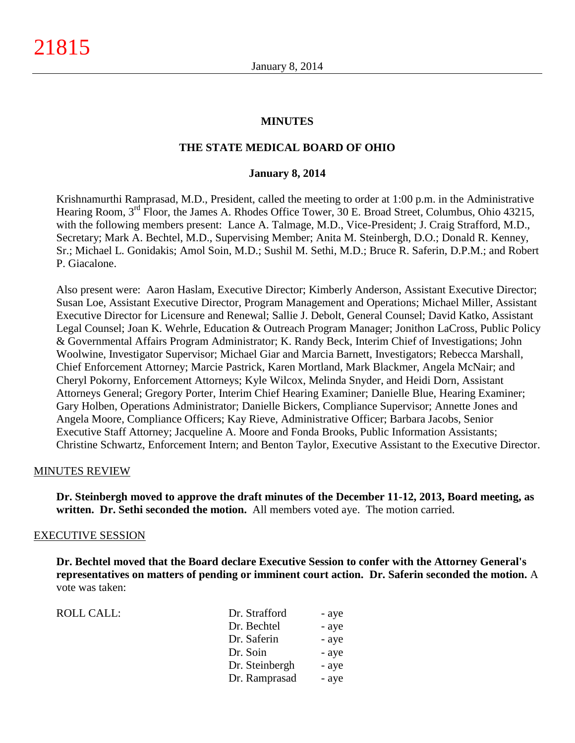### **MINUTES**

### **THE STATE MEDICAL BOARD OF OHIO**

#### **January 8, 2014**

Krishnamurthi Ramprasad, M.D., President, called the meeting to order at 1:00 p.m. in the Administrative Hearing Room, 3<sup>rd</sup> Floor, the James A. Rhodes Office Tower, 30 E. Broad Street, Columbus, Ohio 43215, with the following members present: Lance A. Talmage, M.D., Vice-President; J. Craig Strafford, M.D., Secretary; Mark A. Bechtel, M.D., Supervising Member; Anita M. Steinbergh, D.O.; Donald R. Kenney, Sr.; Michael L. Gonidakis; Amol Soin, M.D.; Sushil M. Sethi, M.D.; Bruce R. Saferin, D.P.M.; and Robert P. Giacalone.

Also present were: Aaron Haslam, Executive Director; Kimberly Anderson, Assistant Executive Director; Susan Loe, Assistant Executive Director, Program Management and Operations; Michael Miller, Assistant Executive Director for Licensure and Renewal; Sallie J. Debolt, General Counsel; David Katko, Assistant Legal Counsel; Joan K. Wehrle, Education & Outreach Program Manager; Jonithon LaCross, Public Policy & Governmental Affairs Program Administrator; K. Randy Beck, Interim Chief of Investigations; John Woolwine, Investigator Supervisor; Michael Giar and Marcia Barnett, Investigators; Rebecca Marshall, Chief Enforcement Attorney; Marcie Pastrick, Karen Mortland, Mark Blackmer, Angela McNair; and Cheryl Pokorny, Enforcement Attorneys; Kyle Wilcox, Melinda Snyder, and Heidi Dorn, Assistant Attorneys General; Gregory Porter, Interim Chief Hearing Examiner; Danielle Blue, Hearing Examiner; Gary Holben, Operations Administrator; Danielle Bickers, Compliance Supervisor; Annette Jones and Angela Moore, Compliance Officers; Kay Rieve, Administrative Officer; Barbara Jacobs, Senior Executive Staff Attorney; Jacqueline A. Moore and Fonda Brooks, Public Information Assistants; Christine Schwartz, Enforcement Intern; and Benton Taylor, Executive Assistant to the Executive Director.

### MINUTES REVIEW

**Dr. Steinbergh moved to approve the draft minutes of the December 11-12, 2013, Board meeting, as written. Dr. Sethi seconded the motion.** All members voted aye. The motion carried.

#### EXECUTIVE SESSION

**Dr. Bechtel moved that the Board declare Executive Session to confer with the Attorney General's representatives on matters of pending or imminent court action. Dr. Saferin seconded the motion.** A vote was taken:

| ROLL CALL: | Dr. Strafford  | - aye |
|------------|----------------|-------|
|            | Dr. Bechtel    | - aye |
|            | Dr. Saferin    | - aye |
|            | Dr. Soin       | - aye |
|            | Dr. Steinbergh | - aye |
|            | Dr. Ramprasad  | - aye |
|            |                |       |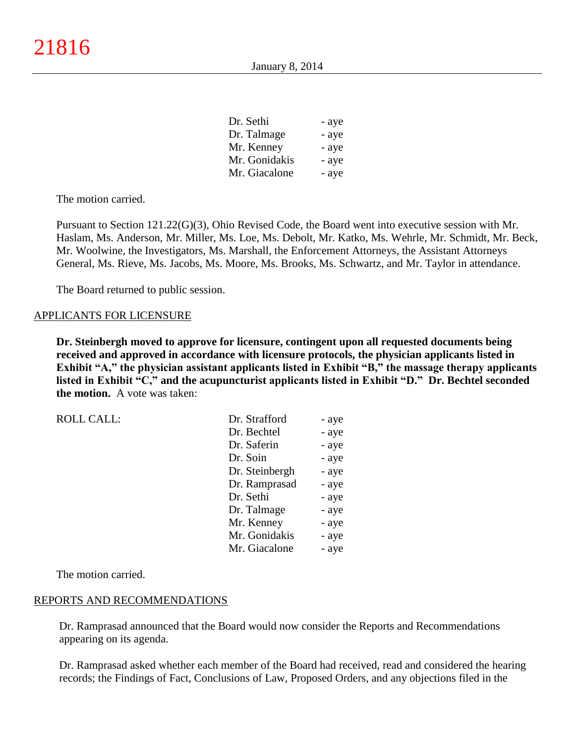| Dr. Sethi     | - aye |
|---------------|-------|
| Dr. Talmage   | - aye |
| Mr. Kenney    | - aye |
| Mr. Gonidakis | - aye |
| Mr. Giacalone | - aye |

The motion carried.

Pursuant to Section 121.22(G)(3), Ohio Revised Code, the Board went into executive session with Mr. Haslam, Ms. Anderson, Mr. Miller, Ms. Loe, Ms. Debolt, Mr. Katko, Ms. Wehrle, Mr. Schmidt, Mr. Beck, Mr. Woolwine, the Investigators, Ms. Marshall, the Enforcement Attorneys, the Assistant Attorneys General, Ms. Rieve, Ms. Jacobs, Ms. Moore, Ms. Brooks, Ms. Schwartz, and Mr. Taylor in attendance.

The Board returned to public session.

### APPLICANTS FOR LICENSURE

**Dr. Steinbergh moved to approve for licensure, contingent upon all requested documents being received and approved in accordance with licensure protocols, the physician applicants listed in Exhibit "A," the physician assistant applicants listed in Exhibit "B," the massage therapy applicants listed in Exhibit "C," and the acupuncturist applicants listed in Exhibit "D." Dr. Bechtel seconded the motion.** A vote was taken:

| <b>ROLL CALL:</b> | Dr. Strafford  | - aye |
|-------------------|----------------|-------|
|                   | Dr. Bechtel    | - aye |
|                   | Dr. Saferin    | - aye |
|                   | Dr. Soin       | - aye |
|                   | Dr. Steinbergh | - aye |
|                   | Dr. Ramprasad  | - aye |
|                   | Dr. Sethi      | - aye |
|                   | Dr. Talmage    | - aye |
|                   | Mr. Kenney     | - aye |
|                   | Mr. Gonidakis  | - aye |
|                   | Mr. Giacalone  | - aye |

The motion carried.

### REPORTS AND RECOMMENDATIONS

Dr. Ramprasad announced that the Board would now consider the Reports and Recommendations appearing on its agenda.

Dr. Ramprasad asked whether each member of the Board had received, read and considered the hearing records; the Findings of Fact, Conclusions of Law, Proposed Orders, and any objections filed in the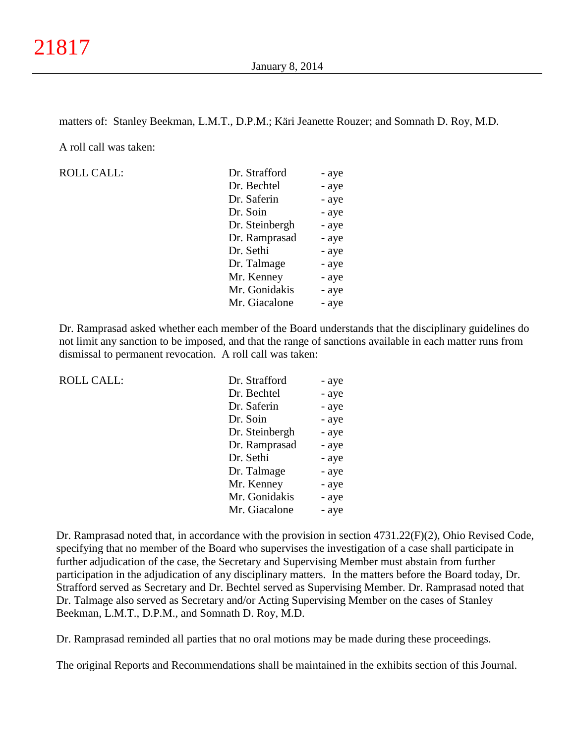matters of: Stanley Beekman, L.M.T., D.P.M.; Käri Jeanette Rouzer; and Somnath D. Roy, M.D.

A roll call was taken:

ROLL CALL:

| Dr. Strafford  | - aye |
|----------------|-------|
| Dr. Bechtel    | - aye |
| Dr. Saferin    | - aye |
| Dr. Soin       | - aye |
| Dr. Steinbergh | - aye |
| Dr. Ramprasad  | - aye |
| Dr. Sethi      | - aye |
| Dr. Talmage    | - aye |
| Mr. Kenney     | - aye |
| Mr. Gonidakis  | - aye |
| Mr. Giacalone  | - aye |

Dr. Ramprasad asked whether each member of the Board understands that the disciplinary guidelines do not limit any sanction to be imposed, and that the range of sanctions available in each matter runs from dismissal to permanent revocation. A roll call was taken:

| <b>ROLL CALL:</b> | Dr. Strafford  | - aye |
|-------------------|----------------|-------|
|                   | Dr. Bechtel    | - aye |
|                   | Dr. Saferin    | - aye |
|                   | Dr. Soin       | - aye |
|                   | Dr. Steinbergh | - aye |
|                   | Dr. Ramprasad  | - aye |
|                   | Dr. Sethi      | - aye |
|                   | Dr. Talmage    | - aye |
|                   | Mr. Kenney     | - aye |
|                   | Mr. Gonidakis  | - aye |
|                   | Mr. Giacalone  | - aye |
|                   |                |       |

Dr. Ramprasad noted that, in accordance with the provision in section 4731.22(F)(2), Ohio Revised Code, specifying that no member of the Board who supervises the investigation of a case shall participate in further adjudication of the case, the Secretary and Supervising Member must abstain from further participation in the adjudication of any disciplinary matters. In the matters before the Board today, Dr. Strafford served as Secretary and Dr. Bechtel served as Supervising Member. Dr. Ramprasad noted that Dr. Talmage also served as Secretary and/or Acting Supervising Member on the cases of Stanley Beekman, L.M.T., D.P.M., and Somnath D. Roy, M.D.

Dr. Ramprasad reminded all parties that no oral motions may be made during these proceedings.

The original Reports and Recommendations shall be maintained in the exhibits section of this Journal.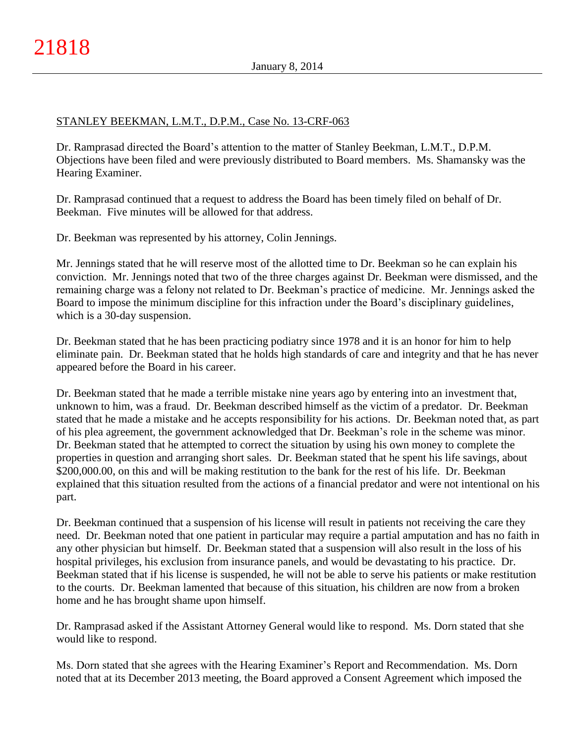# STANLEY BEEKMAN, L.M.T., D.P.M., Case No. 13-CRF-063

Dr. Ramprasad directed the Board's attention to the matter of Stanley Beekman, L.M.T., D.P.M. Objections have been filed and were previously distributed to Board members. Ms. Shamansky was the Hearing Examiner.

Dr. Ramprasad continued that a request to address the Board has been timely filed on behalf of Dr. Beekman. Five minutes will be allowed for that address.

Dr. Beekman was represented by his attorney, Colin Jennings.

Mr. Jennings stated that he will reserve most of the allotted time to Dr. Beekman so he can explain his conviction. Mr. Jennings noted that two of the three charges against Dr. Beekman were dismissed, and the remaining charge was a felony not related to Dr. Beekman's practice of medicine. Mr. Jennings asked the Board to impose the minimum discipline for this infraction under the Board's disciplinary guidelines, which is a 30-day suspension.

Dr. Beekman stated that he has been practicing podiatry since 1978 and it is an honor for him to help eliminate pain. Dr. Beekman stated that he holds high standards of care and integrity and that he has never appeared before the Board in his career.

Dr. Beekman stated that he made a terrible mistake nine years ago by entering into an investment that, unknown to him, was a fraud. Dr. Beekman described himself as the victim of a predator. Dr. Beekman stated that he made a mistake and he accepts responsibility for his actions. Dr. Beekman noted that, as part of his plea agreement, the government acknowledged that Dr. Beekman's role in the scheme was minor. Dr. Beekman stated that he attempted to correct the situation by using his own money to complete the properties in question and arranging short sales. Dr. Beekman stated that he spent his life savings, about \$200,000.00, on this and will be making restitution to the bank for the rest of his life. Dr. Beekman explained that this situation resulted from the actions of a financial predator and were not intentional on his part.

Dr. Beekman continued that a suspension of his license will result in patients not receiving the care they need. Dr. Beekman noted that one patient in particular may require a partial amputation and has no faith in any other physician but himself. Dr. Beekman stated that a suspension will also result in the loss of his hospital privileges, his exclusion from insurance panels, and would be devastating to his practice. Dr. Beekman stated that if his license is suspended, he will not be able to serve his patients or make restitution to the courts. Dr. Beekman lamented that because of this situation, his children are now from a broken home and he has brought shame upon himself.

Dr. Ramprasad asked if the Assistant Attorney General would like to respond. Ms. Dorn stated that she would like to respond.

Ms. Dorn stated that she agrees with the Hearing Examiner's Report and Recommendation. Ms. Dorn noted that at its December 2013 meeting, the Board approved a Consent Agreement which imposed the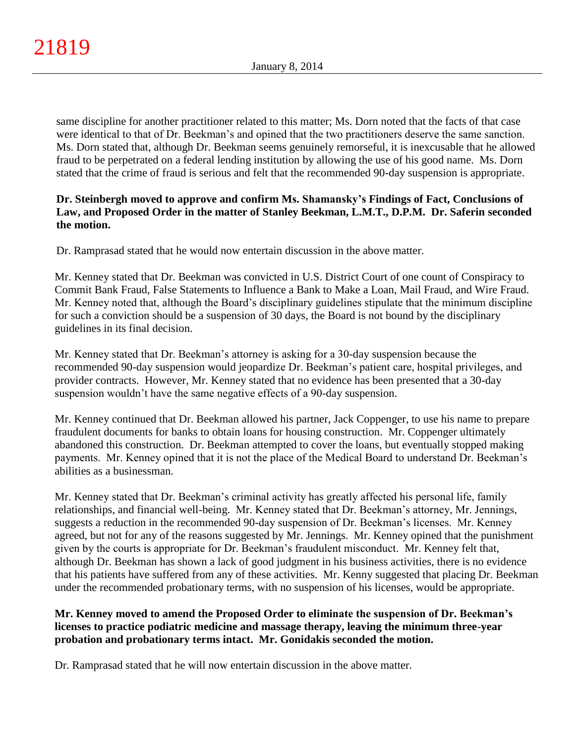same discipline for another practitioner related to this matter; Ms. Dorn noted that the facts of that case were identical to that of Dr. Beekman's and opined that the two practitioners deserve the same sanction. Ms. Dorn stated that, although Dr. Beekman seems genuinely remorseful, it is inexcusable that he allowed fraud to be perpetrated on a federal lending institution by allowing the use of his good name. Ms. Dorn stated that the crime of fraud is serious and felt that the recommended 90-day suspension is appropriate.

# **Dr. Steinbergh moved to approve and confirm Ms. Shamansky's Findings of Fact, Conclusions of Law, and Proposed Order in the matter of Stanley Beekman, L.M.T., D.P.M. Dr. Saferin seconded the motion.**

Dr. Ramprasad stated that he would now entertain discussion in the above matter.

Mr. Kenney stated that Dr. Beekman was convicted in U.S. District Court of one count of Conspiracy to Commit Bank Fraud, False Statements to Influence a Bank to Make a Loan, Mail Fraud, and Wire Fraud. Mr. Kenney noted that, although the Board's disciplinary guidelines stipulate that the minimum discipline for such a conviction should be a suspension of 30 days, the Board is not bound by the disciplinary guidelines in its final decision.

Mr. Kenney stated that Dr. Beekman's attorney is asking for a 30-day suspension because the recommended 90-day suspension would jeopardize Dr. Beekman's patient care, hospital privileges, and provider contracts. However, Mr. Kenney stated that no evidence has been presented that a 30-day suspension wouldn't have the same negative effects of a 90-day suspension.

Mr. Kenney continued that Dr. Beekman allowed his partner, Jack Coppenger, to use his name to prepare fraudulent documents for banks to obtain loans for housing construction. Mr. Coppenger ultimately abandoned this construction. Dr. Beekman attempted to cover the loans, but eventually stopped making payments. Mr. Kenney opined that it is not the place of the Medical Board to understand Dr. Beekman's abilities as a businessman.

Mr. Kenney stated that Dr. Beekman's criminal activity has greatly affected his personal life, family relationships, and financial well-being. Mr. Kenney stated that Dr. Beekman's attorney, Mr. Jennings, suggests a reduction in the recommended 90-day suspension of Dr. Beekman's licenses. Mr. Kenney agreed, but not for any of the reasons suggested by Mr. Jennings. Mr. Kenney opined that the punishment given by the courts is appropriate for Dr. Beekman's fraudulent misconduct. Mr. Kenney felt that, although Dr. Beekman has shown a lack of good judgment in his business activities, there is no evidence that his patients have suffered from any of these activities. Mr. Kenny suggested that placing Dr. Beekman under the recommended probationary terms, with no suspension of his licenses, would be appropriate.

# **Mr. Kenney moved to amend the Proposed Order to eliminate the suspension of Dr. Beekman's licenses to practice podiatric medicine and massage therapy, leaving the minimum three-year probation and probationary terms intact. Mr. Gonidakis seconded the motion.**

Dr. Ramprasad stated that he will now entertain discussion in the above matter.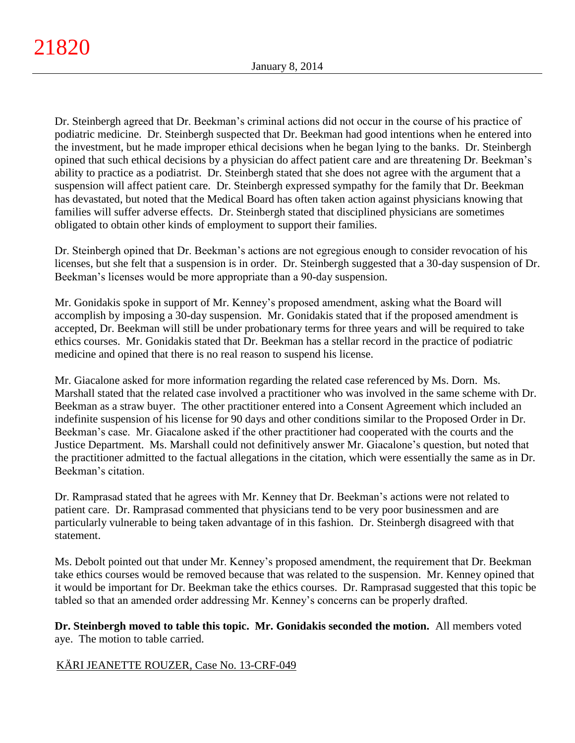Dr. Steinbergh agreed that Dr. Beekman's criminal actions did not occur in the course of his practice of podiatric medicine. Dr. Steinbergh suspected that Dr. Beekman had good intentions when he entered into the investment, but he made improper ethical decisions when he began lying to the banks. Dr. Steinbergh opined that such ethical decisions by a physician do affect patient care and are threatening Dr. Beekman's ability to practice as a podiatrist. Dr. Steinbergh stated that she does not agree with the argument that a suspension will affect patient care. Dr. Steinbergh expressed sympathy for the family that Dr. Beekman has devastated, but noted that the Medical Board has often taken action against physicians knowing that families will suffer adverse effects. Dr. Steinbergh stated that disciplined physicians are sometimes obligated to obtain other kinds of employment to support their families.

Dr. Steinbergh opined that Dr. Beekman's actions are not egregious enough to consider revocation of his licenses, but she felt that a suspension is in order. Dr. Steinbergh suggested that a 30-day suspension of Dr. Beekman's licenses would be more appropriate than a 90-day suspension.

Mr. Gonidakis spoke in support of Mr. Kenney's proposed amendment, asking what the Board will accomplish by imposing a 30-day suspension. Mr. Gonidakis stated that if the proposed amendment is accepted, Dr. Beekman will still be under probationary terms for three years and will be required to take ethics courses. Mr. Gonidakis stated that Dr. Beekman has a stellar record in the practice of podiatric medicine and opined that there is no real reason to suspend his license.

Mr. Giacalone asked for more information regarding the related case referenced by Ms. Dorn. Ms. Marshall stated that the related case involved a practitioner who was involved in the same scheme with Dr. Beekman as a straw buyer. The other practitioner entered into a Consent Agreement which included an indefinite suspension of his license for 90 days and other conditions similar to the Proposed Order in Dr. Beekman's case. Mr. Giacalone asked if the other practitioner had cooperated with the courts and the Justice Department. Ms. Marshall could not definitively answer Mr. Giacalone's question, but noted that the practitioner admitted to the factual allegations in the citation, which were essentially the same as in Dr. Beekman's citation.

Dr. Ramprasad stated that he agrees with Mr. Kenney that Dr. Beekman's actions were not related to patient care. Dr. Ramprasad commented that physicians tend to be very poor businessmen and are particularly vulnerable to being taken advantage of in this fashion. Dr. Steinbergh disagreed with that statement.

Ms. Debolt pointed out that under Mr. Kenney's proposed amendment, the requirement that Dr. Beekman take ethics courses would be removed because that was related to the suspension. Mr. Kenney opined that it would be important for Dr. Beekman take the ethics courses. Dr. Ramprasad suggested that this topic be tabled so that an amended order addressing Mr. Kenney's concerns can be properly drafted.

**Dr. Steinbergh moved to table this topic. Mr. Gonidakis seconded the motion.** All members voted aye. The motion to table carried.

# KÄRI JEANETTE ROUZER, Case No. 13-CRF-049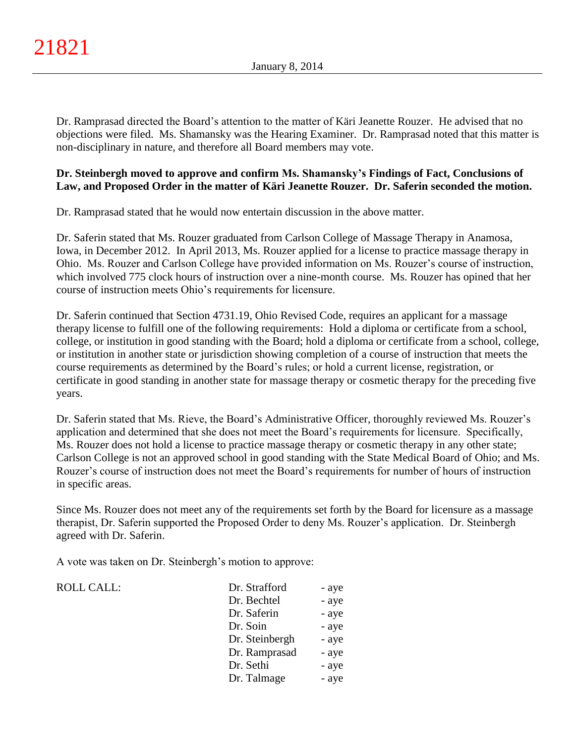Dr. Ramprasad directed the Board's attention to the matter of Käri Jeanette Rouzer. He advised that no objections were filed. Ms. Shamansky was the Hearing Examiner. Dr. Ramprasad noted that this matter is non-disciplinary in nature, and therefore all Board members may vote.

# **Dr. Steinbergh moved to approve and confirm Ms. Shamansky's Findings of Fact, Conclusions of Law, and Proposed Order in the matter of Käri Jeanette Rouzer. Dr. Saferin seconded the motion.**

Dr. Ramprasad stated that he would now entertain discussion in the above matter.

Dr. Saferin stated that Ms. Rouzer graduated from Carlson College of Massage Therapy in Anamosa, Iowa, in December 2012. In April 2013, Ms. Rouzer applied for a license to practice massage therapy in Ohio. Ms. Rouzer and Carlson College have provided information on Ms. Rouzer's course of instruction, which involved 775 clock hours of instruction over a nine-month course. Ms. Rouzer has opined that her course of instruction meets Ohio's requirements for licensure.

Dr. Saferin continued that Section 4731.19, Ohio Revised Code, requires an applicant for a massage therapy license to fulfill one of the following requirements: Hold a diploma or certificate from a school, college, or institution in good standing with the Board; hold a diploma or certificate from a school, college, or institution in another state or jurisdiction showing completion of a course of instruction that meets the course requirements as determined by the Board's rules; or hold a current license, registration, or certificate in good standing in another state for massage therapy or cosmetic therapy for the preceding five years.

Dr. Saferin stated that Ms. Rieve, the Board's Administrative Officer, thoroughly reviewed Ms. Rouzer's application and determined that she does not meet the Board's requirements for licensure. Specifically, Ms. Rouzer does not hold a license to practice massage therapy or cosmetic therapy in any other state; Carlson College is not an approved school in good standing with the State Medical Board of Ohio; and Ms. Rouzer's course of instruction does not meet the Board's requirements for number of hours of instruction in specific areas.

Since Ms. Rouzer does not meet any of the requirements set forth by the Board for licensure as a massage therapist, Dr. Saferin supported the Proposed Order to deny Ms. Rouzer's application. Dr. Steinbergh agreed with Dr. Saferin.

A vote was taken on Dr. Steinbergh's motion to approve:

 $ROLL CALL$ :

| Dr. Strafford  | - aye |
|----------------|-------|
| Dr. Bechtel    | - aye |
| Dr. Saferin    | - aye |
| Dr. Soin       | - aye |
| Dr. Steinbergh | - aye |
| Dr. Ramprasad  | - aye |
| Dr. Sethi      | - aye |
| Dr. Talmage    | - aye |
|                |       |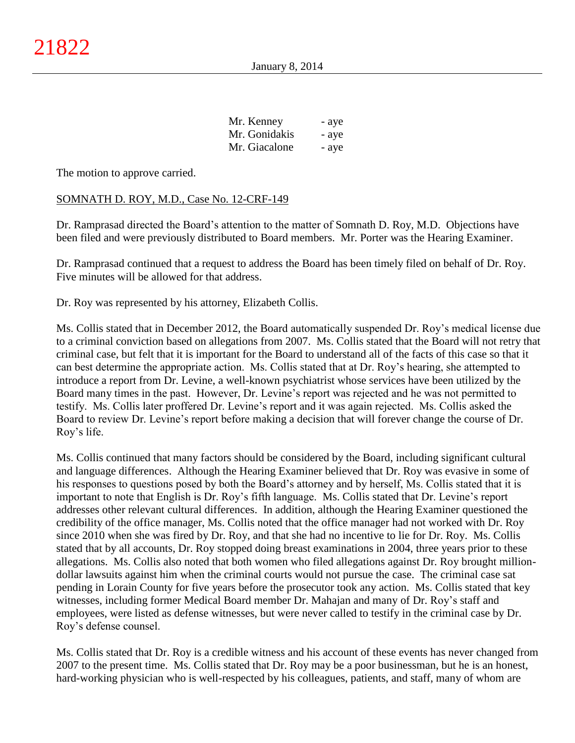| Mr. Kenney    | - aye |
|---------------|-------|
| Mr. Gonidakis | - aye |
| Mr. Giacalone | - aye |

The motion to approve carried.

## SOMNATH D. ROY, M.D., Case No. 12-CRF-149

Dr. Ramprasad directed the Board's attention to the matter of Somnath D. Roy, M.D. Objections have been filed and were previously distributed to Board members. Mr. Porter was the Hearing Examiner.

Dr. Ramprasad continued that a request to address the Board has been timely filed on behalf of Dr. Roy. Five minutes will be allowed for that address.

Dr. Roy was represented by his attorney, Elizabeth Collis.

Ms. Collis stated that in December 2012, the Board automatically suspended Dr. Roy's medical license due to a criminal conviction based on allegations from 2007. Ms. Collis stated that the Board will not retry that criminal case, but felt that it is important for the Board to understand all of the facts of this case so that it can best determine the appropriate action. Ms. Collis stated that at Dr. Roy's hearing, she attempted to introduce a report from Dr. Levine, a well-known psychiatrist whose services have been utilized by the Board many times in the past. However, Dr. Levine's report was rejected and he was not permitted to testify. Ms. Collis later proffered Dr. Levine's report and it was again rejected. Ms. Collis asked the Board to review Dr. Levine's report before making a decision that will forever change the course of Dr. Roy's life.

Ms. Collis continued that many factors should be considered by the Board, including significant cultural and language differences. Although the Hearing Examiner believed that Dr. Roy was evasive in some of his responses to questions posed by both the Board's attorney and by herself, Ms. Collis stated that it is important to note that English is Dr. Roy's fifth language. Ms. Collis stated that Dr. Levine's report addresses other relevant cultural differences. In addition, although the Hearing Examiner questioned the credibility of the office manager, Ms. Collis noted that the office manager had not worked with Dr. Roy since 2010 when she was fired by Dr. Roy, and that she had no incentive to lie for Dr. Roy. Ms. Collis stated that by all accounts, Dr. Roy stopped doing breast examinations in 2004, three years prior to these allegations. Ms. Collis also noted that both women who filed allegations against Dr. Roy brought milliondollar lawsuits against him when the criminal courts would not pursue the case. The criminal case sat pending in Lorain County for five years before the prosecutor took any action. Ms. Collis stated that key witnesses, including former Medical Board member Dr. Mahajan and many of Dr. Roy's staff and employees, were listed as defense witnesses, but were never called to testify in the criminal case by Dr. Roy's defense counsel.

Ms. Collis stated that Dr. Roy is a credible witness and his account of these events has never changed from 2007 to the present time. Ms. Collis stated that Dr. Roy may be a poor businessman, but he is an honest, hard-working physician who is well-respected by his colleagues, patients, and staff, many of whom are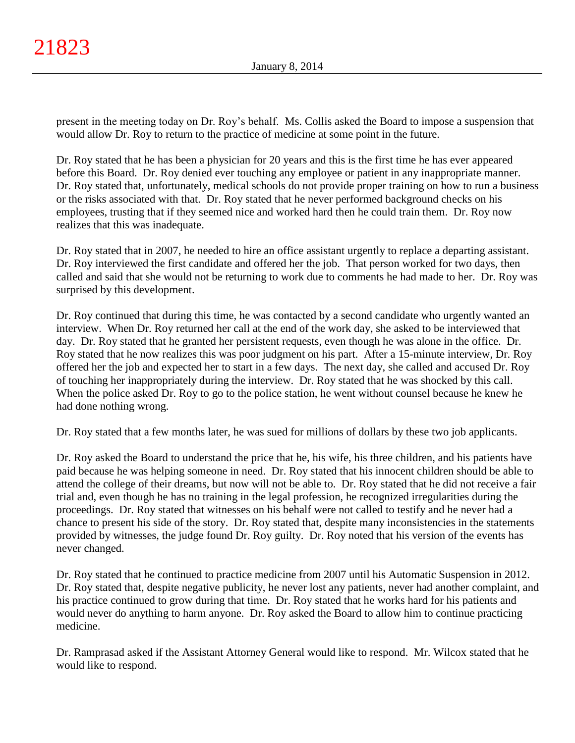present in the meeting today on Dr. Roy's behalf. Ms. Collis asked the Board to impose a suspension that would allow Dr. Roy to return to the practice of medicine at some point in the future.

Dr. Roy stated that he has been a physician for 20 years and this is the first time he has ever appeared before this Board. Dr. Roy denied ever touching any employee or patient in any inappropriate manner. Dr. Roy stated that, unfortunately, medical schools do not provide proper training on how to run a business or the risks associated with that. Dr. Roy stated that he never performed background checks on his employees, trusting that if they seemed nice and worked hard then he could train them. Dr. Roy now realizes that this was inadequate.

Dr. Roy stated that in 2007, he needed to hire an office assistant urgently to replace a departing assistant. Dr. Roy interviewed the first candidate and offered her the job. That person worked for two days, then called and said that she would not be returning to work due to comments he had made to her. Dr. Roy was surprised by this development.

Dr. Roy continued that during this time, he was contacted by a second candidate who urgently wanted an interview. When Dr. Roy returned her call at the end of the work day, she asked to be interviewed that day. Dr. Roy stated that he granted her persistent requests, even though he was alone in the office. Dr. Roy stated that he now realizes this was poor judgment on his part. After a 15-minute interview, Dr. Roy offered her the job and expected her to start in a few days. The next day, she called and accused Dr. Roy of touching her inappropriately during the interview. Dr. Roy stated that he was shocked by this call. When the police asked Dr. Roy to go to the police station, he went without counsel because he knew he had done nothing wrong.

Dr. Roy stated that a few months later, he was sued for millions of dollars by these two job applicants.

Dr. Roy asked the Board to understand the price that he, his wife, his three children, and his patients have paid because he was helping someone in need. Dr. Roy stated that his innocent children should be able to attend the college of their dreams, but now will not be able to. Dr. Roy stated that he did not receive a fair trial and, even though he has no training in the legal profession, he recognized irregularities during the proceedings. Dr. Roy stated that witnesses on his behalf were not called to testify and he never had a chance to present his side of the story. Dr. Roy stated that, despite many inconsistencies in the statements provided by witnesses, the judge found Dr. Roy guilty. Dr. Roy noted that his version of the events has never changed.

Dr. Roy stated that he continued to practice medicine from 2007 until his Automatic Suspension in 2012. Dr. Roy stated that, despite negative publicity, he never lost any patients, never had another complaint, and his practice continued to grow during that time. Dr. Roy stated that he works hard for his patients and would never do anything to harm anyone. Dr. Roy asked the Board to allow him to continue practicing medicine.

Dr. Ramprasad asked if the Assistant Attorney General would like to respond. Mr. Wilcox stated that he would like to respond.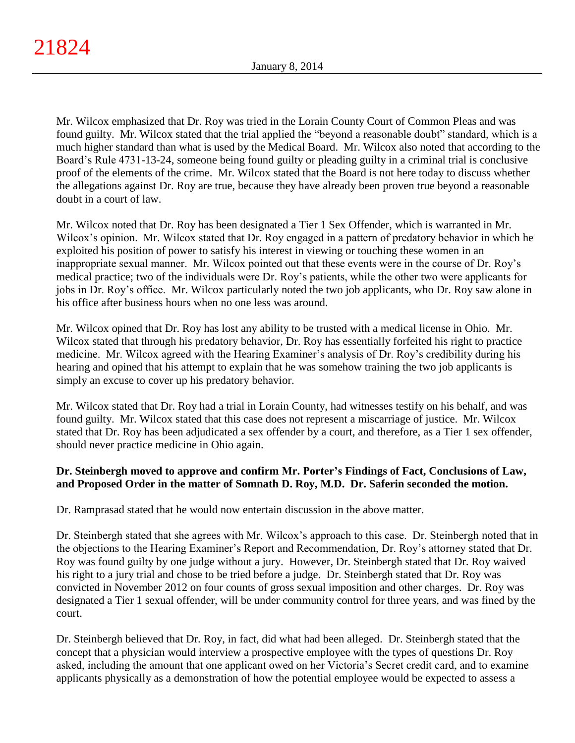Mr. Wilcox emphasized that Dr. Roy was tried in the Lorain County Court of Common Pleas and was found guilty. Mr. Wilcox stated that the trial applied the "beyond a reasonable doubt" standard, which is a much higher standard than what is used by the Medical Board. Mr. Wilcox also noted that according to the Board's Rule 4731-13-24, someone being found guilty or pleading guilty in a criminal trial is conclusive proof of the elements of the crime. Mr. Wilcox stated that the Board is not here today to discuss whether the allegations against Dr. Roy are true, because they have already been proven true beyond a reasonable doubt in a court of law.

Mr. Wilcox noted that Dr. Roy has been designated a Tier 1 Sex Offender, which is warranted in Mr. Wilcox's opinion. Mr. Wilcox stated that Dr. Roy engaged in a pattern of predatory behavior in which he exploited his position of power to satisfy his interest in viewing or touching these women in an inappropriate sexual manner. Mr. Wilcox pointed out that these events were in the course of Dr. Roy's medical practice; two of the individuals were Dr. Roy's patients, while the other two were applicants for jobs in Dr. Roy's office. Mr. Wilcox particularly noted the two job applicants, who Dr. Roy saw alone in his office after business hours when no one less was around.

Mr. Wilcox opined that Dr. Roy has lost any ability to be trusted with a medical license in Ohio. Mr. Wilcox stated that through his predatory behavior, Dr. Roy has essentially forfeited his right to practice medicine. Mr. Wilcox agreed with the Hearing Examiner's analysis of Dr. Roy's credibility during his hearing and opined that his attempt to explain that he was somehow training the two job applicants is simply an excuse to cover up his predatory behavior.

Mr. Wilcox stated that Dr. Roy had a trial in Lorain County, had witnesses testify on his behalf, and was found guilty. Mr. Wilcox stated that this case does not represent a miscarriage of justice. Mr. Wilcox stated that Dr. Roy has been adjudicated a sex offender by a court, and therefore, as a Tier 1 sex offender, should never practice medicine in Ohio again.

# **Dr. Steinbergh moved to approve and confirm Mr. Porter's Findings of Fact, Conclusions of Law, and Proposed Order in the matter of Somnath D. Roy, M.D. Dr. Saferin seconded the motion.**

Dr. Ramprasad stated that he would now entertain discussion in the above matter.

Dr. Steinbergh stated that she agrees with Mr. Wilcox's approach to this case. Dr. Steinbergh noted that in the objections to the Hearing Examiner's Report and Recommendation, Dr. Roy's attorney stated that Dr. Roy was found guilty by one judge without a jury. However, Dr. Steinbergh stated that Dr. Roy waived his right to a jury trial and chose to be tried before a judge. Dr. Steinbergh stated that Dr. Roy was convicted in November 2012 on four counts of gross sexual imposition and other charges. Dr. Roy was designated a Tier 1 sexual offender, will be under community control for three years, and was fined by the court.

Dr. Steinbergh believed that Dr. Roy, in fact, did what had been alleged. Dr. Steinbergh stated that the concept that a physician would interview a prospective employee with the types of questions Dr. Roy asked, including the amount that one applicant owed on her Victoria's Secret credit card, and to examine applicants physically as a demonstration of how the potential employee would be expected to assess a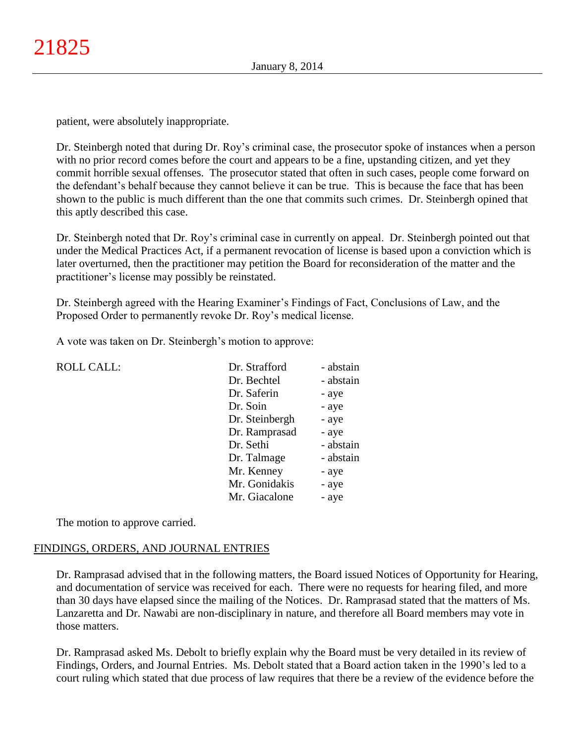patient, were absolutely inappropriate.

Dr. Steinbergh noted that during Dr. Roy's criminal case, the prosecutor spoke of instances when a person with no prior record comes before the court and appears to be a fine, upstanding citizen, and yet they commit horrible sexual offenses. The prosecutor stated that often in such cases, people come forward on the defendant's behalf because they cannot believe it can be true. This is because the face that has been shown to the public is much different than the one that commits such crimes. Dr. Steinbergh opined that this aptly described this case.

Dr. Steinbergh noted that Dr. Roy's criminal case in currently on appeal. Dr. Steinbergh pointed out that under the Medical Practices Act, if a permanent revocation of license is based upon a conviction which is later overturned, then the practitioner may petition the Board for reconsideration of the matter and the practitioner's license may possibly be reinstated.

Dr. Steinbergh agreed with the Hearing Examiner's Findings of Fact, Conclusions of Law, and the Proposed Order to permanently revoke Dr. Roy's medical license.

A vote was taken on Dr. Steinbergh's motion to approve:

| <b>ROLL CALL:</b> | Dr. Strafford  | - abstain |
|-------------------|----------------|-----------|
|                   | Dr. Bechtel    | - abstain |
|                   | Dr. Saferin    | - aye     |
|                   | Dr. Soin       | - aye     |
|                   | Dr. Steinbergh | - aye     |
|                   | Dr. Ramprasad  | - aye     |
|                   | Dr. Sethi      | - abstain |
|                   | Dr. Talmage    | - abstain |
|                   | Mr. Kenney     | - aye     |
|                   | Mr. Gonidakis  | - aye     |
|                   | Mr. Giacalone  | - aye     |
|                   |                |           |

The motion to approve carried.

## FINDINGS, ORDERS, AND JOURNAL ENTRIES

Dr. Ramprasad advised that in the following matters, the Board issued Notices of Opportunity for Hearing, and documentation of service was received for each. There were no requests for hearing filed, and more than 30 days have elapsed since the mailing of the Notices. Dr. Ramprasad stated that the matters of Ms. Lanzaretta and Dr. Nawabi are non-disciplinary in nature, and therefore all Board members may vote in those matters.

Dr. Ramprasad asked Ms. Debolt to briefly explain why the Board must be very detailed in its review of Findings, Orders, and Journal Entries. Ms. Debolt stated that a Board action taken in the 1990's led to a court ruling which stated that due process of law requires that there be a review of the evidence before the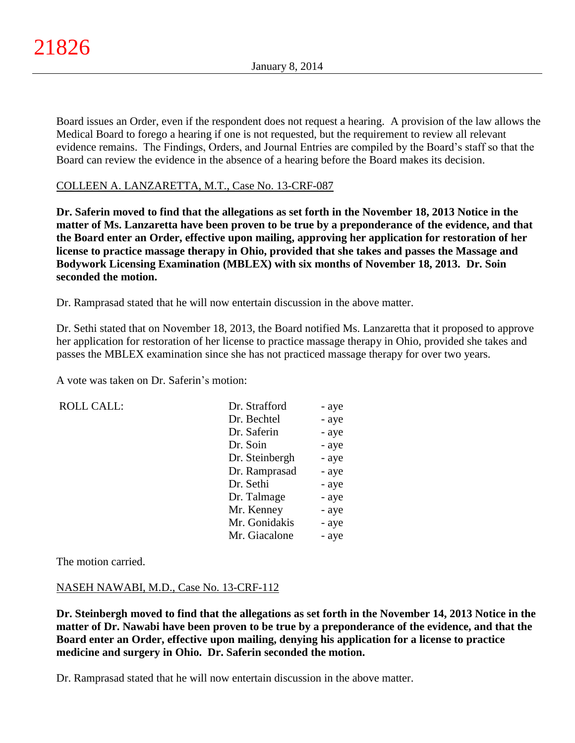Board issues an Order, even if the respondent does not request a hearing. A provision of the law allows the Medical Board to forego a hearing if one is not requested, but the requirement to review all relevant evidence remains. The Findings, Orders, and Journal Entries are compiled by the Board's staff so that the Board can review the evidence in the absence of a hearing before the Board makes its decision.

## COLLEEN A. LANZARETTA, M.T., Case No. 13-CRF-087

**Dr. Saferin moved to find that the allegations as set forth in the November 18, 2013 Notice in the matter of Ms. Lanzaretta have been proven to be true by a preponderance of the evidence, and that the Board enter an Order, effective upon mailing, approving her application for restoration of her license to practice massage therapy in Ohio, provided that she takes and passes the Massage and Bodywork Licensing Examination (MBLEX) with six months of November 18, 2013. Dr. Soin seconded the motion.**

Dr. Ramprasad stated that he will now entertain discussion in the above matter.

Dr. Sethi stated that on November 18, 2013, the Board notified Ms. Lanzaretta that it proposed to approve her application for restoration of her license to practice massage therapy in Ohio, provided she takes and passes the MBLEX examination since she has not practiced massage therapy for over two years.

A vote was taken on Dr. Saferin's motion:

ROLL CALL:

| Dr. Strafford  | - aye |
|----------------|-------|
| Dr. Bechtel    | - aye |
| Dr. Saferin    | - aye |
| Dr. Soin       | - aye |
| Dr. Steinbergh | - aye |
| Dr. Ramprasad  | - aye |
| Dr. Sethi      | - aye |
| Dr. Talmage    | - aye |
| Mr. Kenney     | - aye |
| Mr. Gonidakis  | - aye |
| Mr. Giacalone  | - aye |

The motion carried.

## NASEH NAWABI, M.D., Case No. 13-CRF-112

**Dr. Steinbergh moved to find that the allegations as set forth in the November 14, 2013 Notice in the matter of Dr. Nawabi have been proven to be true by a preponderance of the evidence, and that the Board enter an Order, effective upon mailing, denying his application for a license to practice medicine and surgery in Ohio. Dr. Saferin seconded the motion.**

Dr. Ramprasad stated that he will now entertain discussion in the above matter.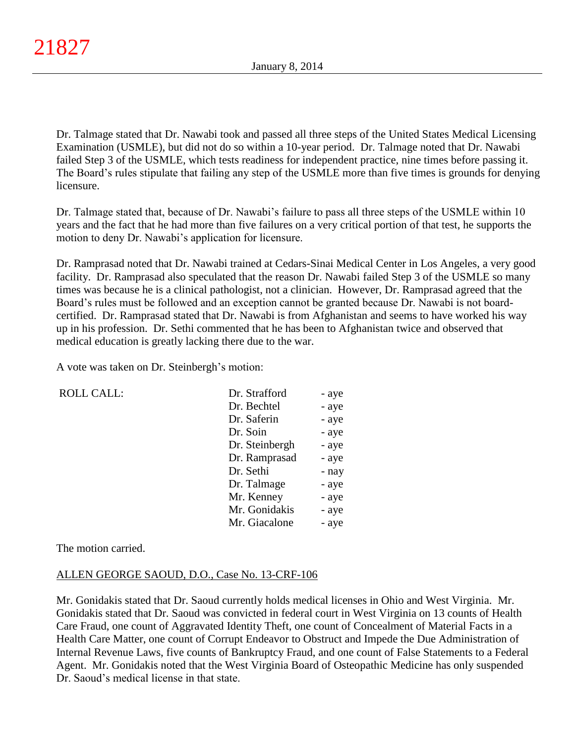Dr. Talmage stated that Dr. Nawabi took and passed all three steps of the United States Medical Licensing Examination (USMLE), but did not do so within a 10-year period. Dr. Talmage noted that Dr. Nawabi failed Step 3 of the USMLE, which tests readiness for independent practice, nine times before passing it. The Board's rules stipulate that failing any step of the USMLE more than five times is grounds for denying licensure.

Dr. Talmage stated that, because of Dr. Nawabi's failure to pass all three steps of the USMLE within 10 years and the fact that he had more than five failures on a very critical portion of that test, he supports the motion to deny Dr. Nawabi's application for licensure.

Dr. Ramprasad noted that Dr. Nawabi trained at Cedars-Sinai Medical Center in Los Angeles, a very good facility. Dr. Ramprasad also speculated that the reason Dr. Nawabi failed Step 3 of the USMLE so many times was because he is a clinical pathologist, not a clinician. However, Dr. Ramprasad agreed that the Board's rules must be followed and an exception cannot be granted because Dr. Nawabi is not boardcertified. Dr. Ramprasad stated that Dr. Nawabi is from Afghanistan and seems to have worked his way up in his profession. Dr. Sethi commented that he has been to Afghanistan twice and observed that medical education is greatly lacking there due to the war.

A vote was taken on Dr. Steinbergh's motion:

| <b>ROLL CALL:</b> | Dr. Strafford  | - aye |
|-------------------|----------------|-------|
|                   | Dr. Bechtel    | - aye |
|                   | Dr. Saferin    | - aye |
|                   | Dr. Soin       | - aye |
|                   | Dr. Steinbergh | - aye |
|                   | Dr. Ramprasad  | - aye |
|                   | Dr. Sethi      | - nay |
|                   | Dr. Talmage    | - aye |
|                   | Mr. Kenney     | - aye |
|                   | Mr. Gonidakis  | - aye |
|                   | Mr. Giacalone  | - aye |
|                   |                |       |

The motion carried.

# ALLEN GEORGE SAOUD, D.O., Case No. 13-CRF-106

Mr. Gonidakis stated that Dr. Saoud currently holds medical licenses in Ohio and West Virginia. Mr. Gonidakis stated that Dr. Saoud was convicted in federal court in West Virginia on 13 counts of Health Care Fraud, one count of Aggravated Identity Theft, one count of Concealment of Material Facts in a Health Care Matter, one count of Corrupt Endeavor to Obstruct and Impede the Due Administration of Internal Revenue Laws, five counts of Bankruptcy Fraud, and one count of False Statements to a Federal Agent. Mr. Gonidakis noted that the West Virginia Board of Osteopathic Medicine has only suspended Dr. Saoud's medical license in that state.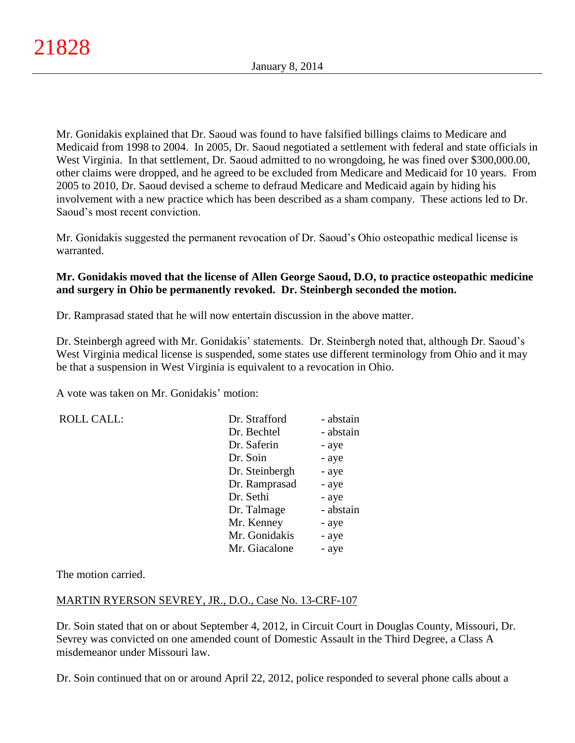Mr. Gonidakis explained that Dr. Saoud was found to have falsified billings claims to Medicare and Medicaid from 1998 to 2004. In 2005, Dr. Saoud negotiated a settlement with federal and state officials in West Virginia. In that settlement, Dr. Saoud admitted to no wrongdoing, he was fined over \$300,000.00, other claims were dropped, and he agreed to be excluded from Medicare and Medicaid for 10 years. From 2005 to 2010, Dr. Saoud devised a scheme to defraud Medicare and Medicaid again by hiding his involvement with a new practice which has been described as a sham company. These actions led to Dr. Saoud's most recent conviction.

Mr. Gonidakis suggested the permanent revocation of Dr. Saoud's Ohio osteopathic medical license is warranted.

# **Mr. Gonidakis moved that the license of Allen George Saoud, D.O, to practice osteopathic medicine and surgery in Ohio be permanently revoked. Dr. Steinbergh seconded the motion.**

Dr. Ramprasad stated that he will now entertain discussion in the above matter.

Dr. Steinbergh agreed with Mr. Gonidakis' statements. Dr. Steinbergh noted that, although Dr. Saoud's West Virginia medical license is suspended, some states use different terminology from Ohio and it may be that a suspension in West Virginia is equivalent to a revocation in Ohio.

A vote was taken on Mr. Gonidakis' motion:

ROLL CALL:

| Dr. Strafford  | - abstain |
|----------------|-----------|
| Dr. Bechtel    | - abstain |
| Dr. Saferin    | - aye     |
| Dr. Soin       | - aye     |
| Dr. Steinbergh | - aye     |
| Dr. Ramprasad  | - aye     |
| Dr. Sethi      | - aye     |
| Dr. Talmage    | - abstain |
| Mr. Kenney     | - aye     |
| Mr. Gonidakis  | - aye     |
| Mr. Giacalone  | - aye     |

The motion carried.

## MARTIN RYERSON SEVREY, JR., D.O., Case No. 13-CRF-107

Dr. Soin stated that on or about September 4, 2012, in Circuit Court in Douglas County, Missouri, Dr. Sevrey was convicted on one amended count of Domestic Assault in the Third Degree, a Class A misdemeanor under Missouri law.

Dr. Soin continued that on or around April 22, 2012, police responded to several phone calls about a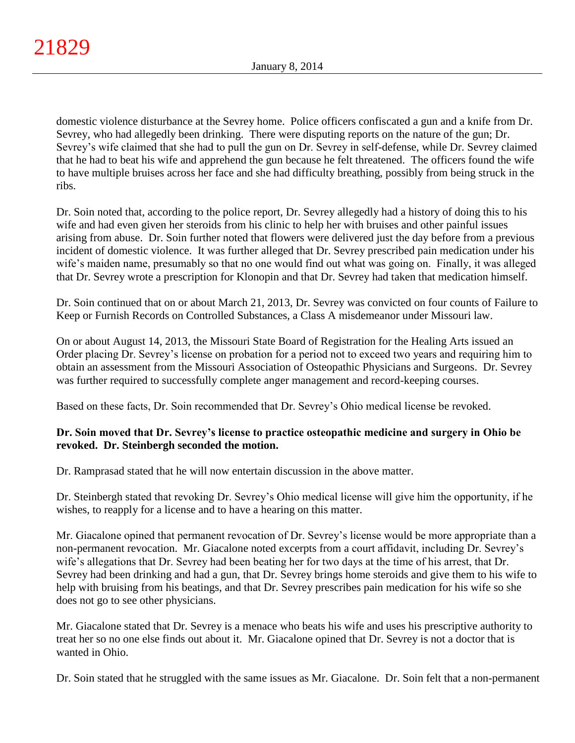domestic violence disturbance at the Sevrey home. Police officers confiscated a gun and a knife from Dr. Sevrey, who had allegedly been drinking. There were disputing reports on the nature of the gun; Dr. Sevrey's wife claimed that she had to pull the gun on Dr. Sevrey in self-defense, while Dr. Sevrey claimed that he had to beat his wife and apprehend the gun because he felt threatened. The officers found the wife to have multiple bruises across her face and she had difficulty breathing, possibly from being struck in the ribs.

Dr. Soin noted that, according to the police report, Dr. Sevrey allegedly had a history of doing this to his wife and had even given her steroids from his clinic to help her with bruises and other painful issues arising from abuse. Dr. Soin further noted that flowers were delivered just the day before from a previous incident of domestic violence. It was further alleged that Dr. Sevrey prescribed pain medication under his wife's maiden name, presumably so that no one would find out what was going on. Finally, it was alleged that Dr. Sevrey wrote a prescription for Klonopin and that Dr. Sevrey had taken that medication himself.

Dr. Soin continued that on or about March 21, 2013, Dr. Sevrey was convicted on four counts of Failure to Keep or Furnish Records on Controlled Substances, a Class A misdemeanor under Missouri law.

On or about August 14, 2013, the Missouri State Board of Registration for the Healing Arts issued an Order placing Dr. Sevrey's license on probation for a period not to exceed two years and requiring him to obtain an assessment from the Missouri Association of Osteopathic Physicians and Surgeons. Dr. Sevrey was further required to successfully complete anger management and record-keeping courses.

Based on these facts, Dr. Soin recommended that Dr. Sevrey's Ohio medical license be revoked.

# **Dr. Soin moved that Dr. Sevrey's license to practice osteopathic medicine and surgery in Ohio be revoked. Dr. Steinbergh seconded the motion.**

Dr. Ramprasad stated that he will now entertain discussion in the above matter.

Dr. Steinbergh stated that revoking Dr. Sevrey's Ohio medical license will give him the opportunity, if he wishes, to reapply for a license and to have a hearing on this matter.

Mr. Giacalone opined that permanent revocation of Dr. Sevrey's license would be more appropriate than a non-permanent revocation. Mr. Giacalone noted excerpts from a court affidavit, including Dr. Sevrey's wife's allegations that Dr. Sevrey had been beating her for two days at the time of his arrest, that Dr. Sevrey had been drinking and had a gun, that Dr. Sevrey brings home steroids and give them to his wife to help with bruising from his beatings, and that Dr. Sevrey prescribes pain medication for his wife so she does not go to see other physicians.

Mr. Giacalone stated that Dr. Sevrey is a menace who beats his wife and uses his prescriptive authority to treat her so no one else finds out about it. Mr. Giacalone opined that Dr. Sevrey is not a doctor that is wanted in Ohio.

Dr. Soin stated that he struggled with the same issues as Mr. Giacalone. Dr. Soin felt that a non-permanent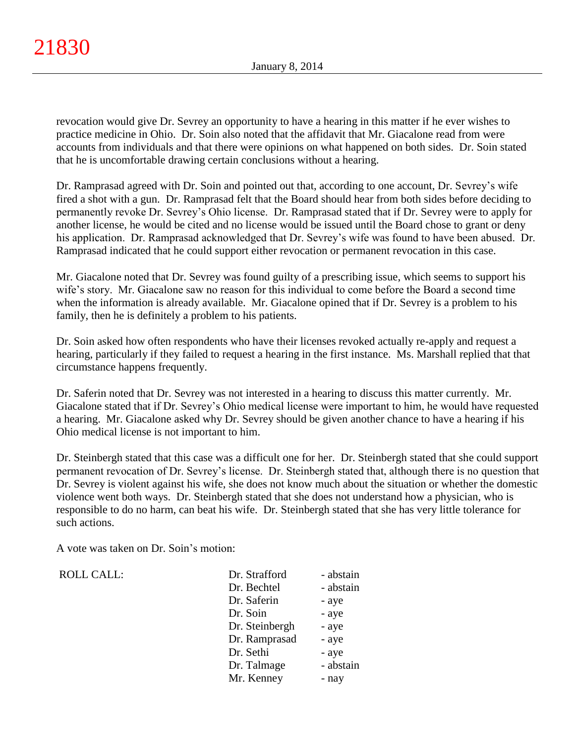revocation would give Dr. Sevrey an opportunity to have a hearing in this matter if he ever wishes to practice medicine in Ohio. Dr. Soin also noted that the affidavit that Mr. Giacalone read from were accounts from individuals and that there were opinions on what happened on both sides. Dr. Soin stated that he is uncomfortable drawing certain conclusions without a hearing.

Dr. Ramprasad agreed with Dr. Soin and pointed out that, according to one account, Dr. Sevrey's wife fired a shot with a gun. Dr. Ramprasad felt that the Board should hear from both sides before deciding to permanently revoke Dr. Sevrey's Ohio license. Dr. Ramprasad stated that if Dr. Sevrey were to apply for another license, he would be cited and no license would be issued until the Board chose to grant or deny his application. Dr. Ramprasad acknowledged that Dr. Sevrey's wife was found to have been abused. Dr. Ramprasad indicated that he could support either revocation or permanent revocation in this case.

Mr. Giacalone noted that Dr. Sevrey was found guilty of a prescribing issue, which seems to support his wife's story. Mr. Giacalone saw no reason for this individual to come before the Board a second time when the information is already available. Mr. Giacalone opined that if Dr. Sevrey is a problem to his family, then he is definitely a problem to his patients.

Dr. Soin asked how often respondents who have their licenses revoked actually re-apply and request a hearing, particularly if they failed to request a hearing in the first instance. Ms. Marshall replied that that circumstance happens frequently.

Dr. Saferin noted that Dr. Sevrey was not interested in a hearing to discuss this matter currently. Mr. Giacalone stated that if Dr. Sevrey's Ohio medical license were important to him, he would have requested a hearing. Mr. Giacalone asked why Dr. Sevrey should be given another chance to have a hearing if his Ohio medical license is not important to him.

Dr. Steinbergh stated that this case was a difficult one for her. Dr. Steinbergh stated that she could support permanent revocation of Dr. Sevrey's license. Dr. Steinbergh stated that, although there is no question that Dr. Sevrey is violent against his wife, she does not know much about the situation or whether the domestic violence went both ways. Dr. Steinbergh stated that she does not understand how a physician, who is responsible to do no harm, can beat his wife. Dr. Steinbergh stated that she has very little tolerance for such actions.

A vote was taken on Dr. Soin's motion:

ROLL CALL:

| Dr. Strafford  | - abstain |
|----------------|-----------|
| Dr. Bechtel    | - abstain |
| Dr. Saferin    | - aye     |
| Dr. Soin       | - aye     |
| Dr. Steinbergh | - aye     |
| Dr. Ramprasad  | - aye     |
| Dr. Sethi      | - aye     |
| Dr. Talmage    | - abstain |
| Mr. Kenney     | - nay     |
|                |           |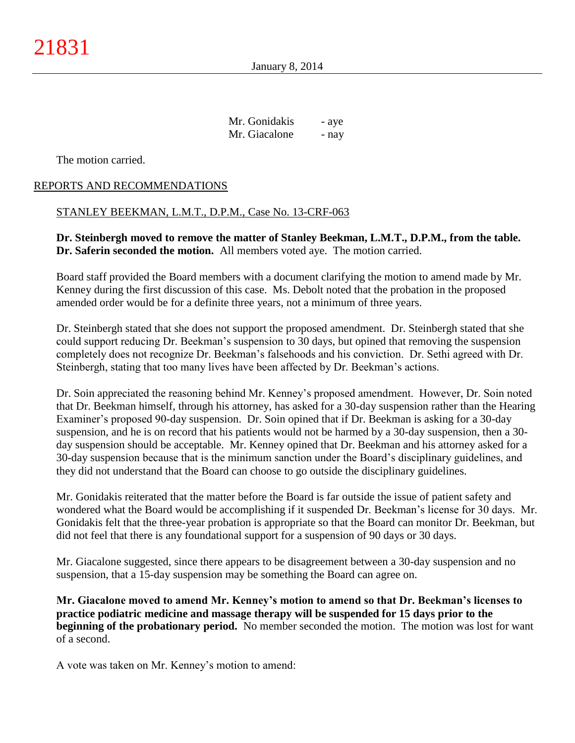January 8, 2014

Mr. Gonidakis - aye Mr. Giacalone - nay

The motion carried.

## REPORTS AND RECOMMENDATIONS

### STANLEY BEEKMAN, L.M.T., D.P.M., Case No. 13-CRF-063

**Dr. Steinbergh moved to remove the matter of Stanley Beekman, L.M.T., D.P.M., from the table. Dr. Saferin seconded the motion.** All members voted aye. The motion carried.

Board staff provided the Board members with a document clarifying the motion to amend made by Mr. Kenney during the first discussion of this case. Ms. Debolt noted that the probation in the proposed amended order would be for a definite three years, not a minimum of three years.

Dr. Steinbergh stated that she does not support the proposed amendment. Dr. Steinbergh stated that she could support reducing Dr. Beekman's suspension to 30 days, but opined that removing the suspension completely does not recognize Dr. Beekman's falsehoods and his conviction. Dr. Sethi agreed with Dr. Steinbergh, stating that too many lives have been affected by Dr. Beekman's actions.

Dr. Soin appreciated the reasoning behind Mr. Kenney's proposed amendment. However, Dr. Soin noted that Dr. Beekman himself, through his attorney, has asked for a 30-day suspension rather than the Hearing Examiner's proposed 90-day suspension. Dr. Soin opined that if Dr. Beekman is asking for a 30-day suspension, and he is on record that his patients would not be harmed by a 30-day suspension, then a 30 day suspension should be acceptable. Mr. Kenney opined that Dr. Beekman and his attorney asked for a 30-day suspension because that is the minimum sanction under the Board's disciplinary guidelines, and they did not understand that the Board can choose to go outside the disciplinary guidelines.

Mr. Gonidakis reiterated that the matter before the Board is far outside the issue of patient safety and wondered what the Board would be accomplishing if it suspended Dr. Beekman's license for 30 days. Mr. Gonidakis felt that the three-year probation is appropriate so that the Board can monitor Dr. Beekman, but did not feel that there is any foundational support for a suspension of 90 days or 30 days.

Mr. Giacalone suggested, since there appears to be disagreement between a 30-day suspension and no suspension, that a 15-day suspension may be something the Board can agree on.

**Mr. Giacalone moved to amend Mr. Kenney's motion to amend so that Dr. Beekman's licenses to practice podiatric medicine and massage therapy will be suspended for 15 days prior to the beginning of the probationary period.** No member seconded the motion. The motion was lost for want of a second.

A vote was taken on Mr. Kenney's motion to amend: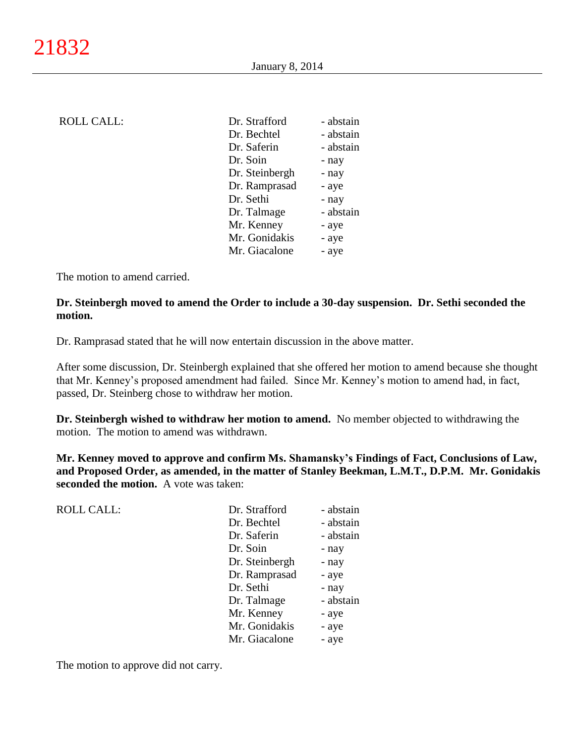| <b>ROLL CALL:</b> | Dr. Strafford  | - abstain |
|-------------------|----------------|-----------|
|                   | Dr. Bechtel    | - abstain |
|                   | Dr. Saferin    | - abstain |
|                   | Dr. Soin       | - nay     |
|                   | Dr. Steinbergh | - nay     |
|                   | Dr. Ramprasad  | - aye     |
|                   | Dr. Sethi      | - nay     |
|                   | Dr. Talmage    | - abstain |
|                   | Mr. Kenney     | - aye     |
|                   | Mr. Gonidakis  | - aye     |
|                   | Mr. Giacalone  | - aye     |
|                   |                |           |

## **Dr. Steinbergh moved to amend the Order to include a 30-day suspension. Dr. Sethi seconded the motion.**

Dr. Ramprasad stated that he will now entertain discussion in the above matter.

After some discussion, Dr. Steinbergh explained that she offered her motion to amend because she thought that Mr. Kenney's proposed amendment had failed. Since Mr. Kenney's motion to amend had, in fact, passed, Dr. Steinberg chose to withdraw her motion.

**Dr. Steinbergh wished to withdraw her motion to amend.** No member objected to withdrawing the motion. The motion to amend was withdrawn.

**Mr. Kenney moved to approve and confirm Ms. Shamansky's Findings of Fact, Conclusions of Law, and Proposed Order, as amended, in the matter of Stanley Beekman, L.M.T., D.P.M. Mr. Gonidakis seconded the motion.** A vote was taken:

| <b>ROLL CALL:</b> | Dr. Strafford  | - abstain |
|-------------------|----------------|-----------|
|                   | Dr. Bechtel    | - abstain |
|                   | Dr. Saferin    | - abstain |
|                   | Dr. Soin       | - nay     |
|                   | Dr. Steinbergh | - nay     |
|                   | Dr. Ramprasad  | - aye     |
|                   | Dr. Sethi      | - nay     |
|                   | Dr. Talmage    | - abstain |
|                   | Mr. Kenney     | - aye     |
|                   | Mr. Gonidakis  | - aye     |
|                   | Mr. Giacalone  | - aye     |
|                   |                |           |

The motion to approve did not carry.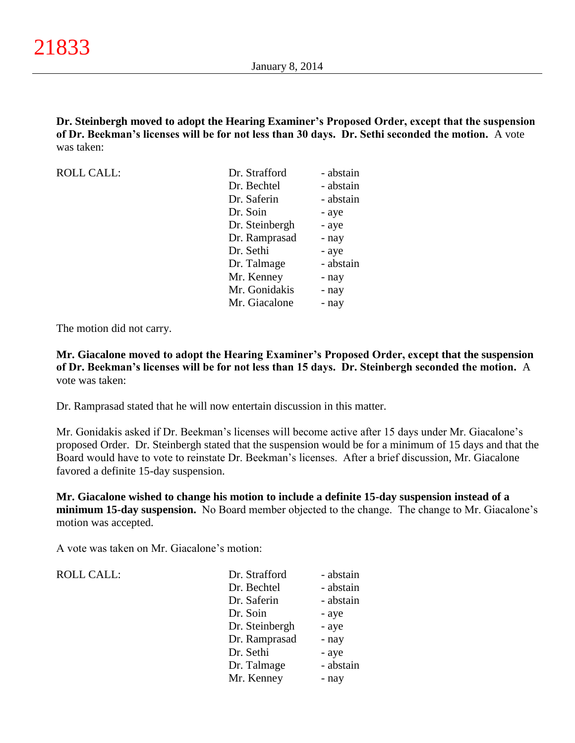**Dr. Steinbergh moved to adopt the Hearing Examiner's Proposed Order, except that the suspension of Dr. Beekman's licenses will be for not less than 30 days. Dr. Sethi seconded the motion.** A vote was taken:

| <b>ROLL CALL:</b> | Dr. Strafford  | - abstain |
|-------------------|----------------|-----------|
|                   | Dr. Bechtel    | - abstain |
|                   | Dr. Saferin    | - abstain |
|                   | Dr. Soin       | - aye     |
|                   | Dr. Steinbergh | - aye     |
|                   | Dr. Ramprasad  | - nay     |
|                   | Dr. Sethi      | - aye     |
|                   | Dr. Talmage    | - abstain |
|                   | Mr. Kenney     | - nay     |
|                   | Mr. Gonidakis  | - nay     |
|                   | Mr. Giacalone  | - nay     |

The motion did not carry.

**Mr. Giacalone moved to adopt the Hearing Examiner's Proposed Order, except that the suspension of Dr. Beekman's licenses will be for not less than 15 days. Dr. Steinbergh seconded the motion.** A vote was taken:

Dr. Ramprasad stated that he will now entertain discussion in this matter.

Mr. Gonidakis asked if Dr. Beekman's licenses will become active after 15 days under Mr. Giacalone's proposed Order. Dr. Steinbergh stated that the suspension would be for a minimum of 15 days and that the Board would have to vote to reinstate Dr. Beekman's licenses. After a brief discussion, Mr. Giacalone favored a definite 15-day suspension.

**Mr. Giacalone wished to change his motion to include a definite 15-day suspension instead of a minimum 15-day suspension.** No Board member objected to the change. The change to Mr. Giacalone's motion was accepted.

A vote was taken on Mr. Giacalone's motion:

| <b>ROLL CALL:</b> |  |
|-------------------|--|
|-------------------|--|

| <b>ROLL CALL:</b> | Dr. Strafford  | - abstain |
|-------------------|----------------|-----------|
|                   | Dr. Bechtel    | - abstain |
|                   | Dr. Saferin    | - abstain |
|                   | Dr. Soin       | - aye     |
|                   | Dr. Steinbergh | - aye     |
|                   | Dr. Ramprasad  | - nay     |
|                   | Dr. Sethi      | - aye     |
|                   | Dr. Talmage    | - abstain |
|                   | Mr. Kenney     | - nay     |
|                   |                |           |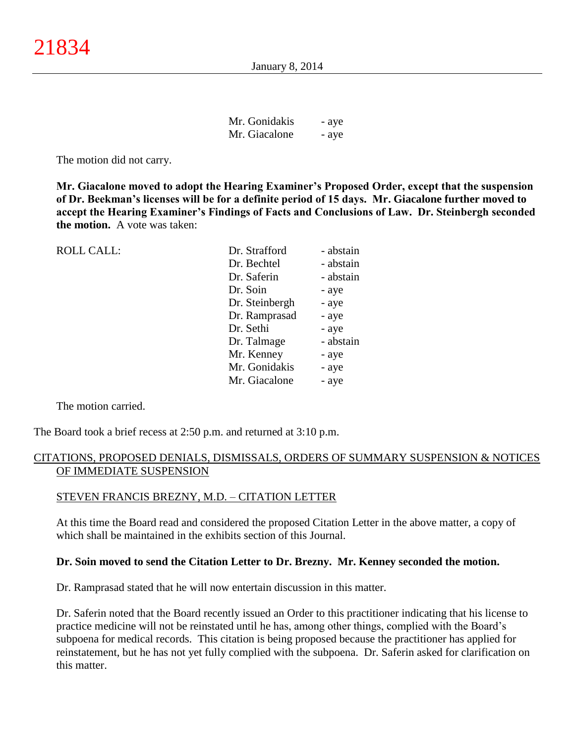| Mr. Gonidakis | - aye |
|---------------|-------|
| Mr. Giacalone | - aye |

The motion did not carry.

**Mr. Giacalone moved to adopt the Hearing Examiner's Proposed Order, except that the suspension of Dr. Beekman's licenses will be for a definite period of 15 days. Mr. Giacalone further moved to accept the Hearing Examiner's Findings of Facts and Conclusions of Law. Dr. Steinbergh seconded the motion.** A vote was taken:

| <b>ROLL CALL:</b> | Dr. Strafford  | - abstain |
|-------------------|----------------|-----------|
|                   | Dr. Bechtel    | - abstain |
|                   | Dr. Saferin    | - abstain |
|                   | Dr. Soin       | - aye     |
|                   | Dr. Steinbergh | - aye     |
|                   | Dr. Ramprasad  | - aye     |
|                   | Dr. Sethi      | - aye     |
|                   | Dr. Talmage    | - abstain |
|                   | Mr. Kenney     | - aye     |
|                   | Mr. Gonidakis  | - aye     |
|                   | Mr. Giacalone  | - aye     |
|                   |                |           |

The motion carried.

The Board took a brief recess at 2:50 p.m. and returned at 3:10 p.m.

### CITATIONS, PROPOSED DENIALS, DISMISSALS, ORDERS OF SUMMARY SUSPENSION & NOTICES OF IMMEDIATE SUSPENSION

### STEVEN FRANCIS BREZNY, M.D. – CITATION LETTER

At this time the Board read and considered the proposed Citation Letter in the above matter, a copy of which shall be maintained in the exhibits section of this Journal.

### **Dr. Soin moved to send the Citation Letter to Dr. Brezny. Mr. Kenney seconded the motion.**

Dr. Ramprasad stated that he will now entertain discussion in this matter.

Dr. Saferin noted that the Board recently issued an Order to this practitioner indicating that his license to practice medicine will not be reinstated until he has, among other things, complied with the Board's subpoena for medical records. This citation is being proposed because the practitioner has applied for reinstatement, but he has not yet fully complied with the subpoena. Dr. Saferin asked for clarification on this matter.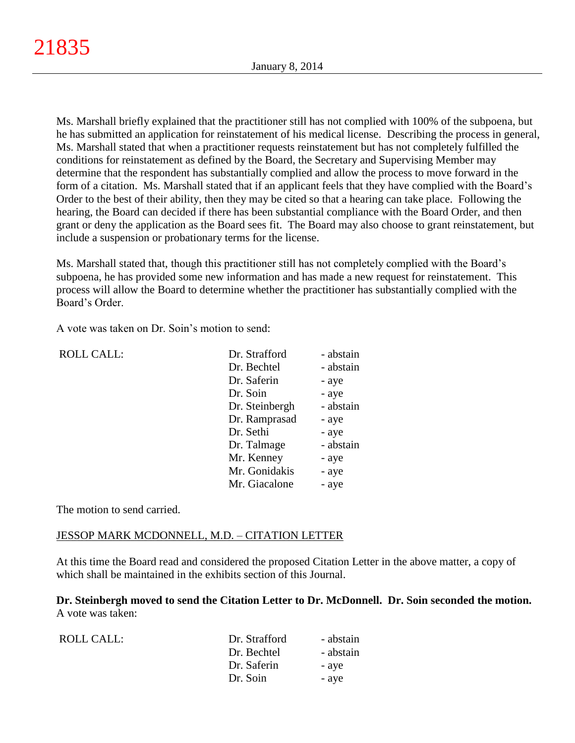Ms. Marshall briefly explained that the practitioner still has not complied with 100% of the subpoena, but he has submitted an application for reinstatement of his medical license. Describing the process in general, Ms. Marshall stated that when a practitioner requests reinstatement but has not completely fulfilled the conditions for reinstatement as defined by the Board, the Secretary and Supervising Member may determine that the respondent has substantially complied and allow the process to move forward in the form of a citation. Ms. Marshall stated that if an applicant feels that they have complied with the Board's Order to the best of their ability, then they may be cited so that a hearing can take place. Following the hearing, the Board can decided if there has been substantial compliance with the Board Order, and then grant or deny the application as the Board sees fit. The Board may also choose to grant reinstatement, but include a suspension or probationary terms for the license.

Ms. Marshall stated that, though this practitioner still has not completely complied with the Board's subpoena, he has provided some new information and has made a new request for reinstatement. This process will allow the Board to determine whether the practitioner has substantially complied with the Board's Order.

A vote was taken on Dr. Soin's motion to send:

| <b>ROLL CALL:</b> | Dr. Strafford  | - abstain |
|-------------------|----------------|-----------|
|                   | Dr. Bechtel    | - abstain |
|                   | Dr. Saferin    | - aye     |
|                   | Dr. Soin       | - aye     |
|                   | Dr. Steinbergh | - abstain |
|                   | Dr. Ramprasad  | - aye     |
|                   | Dr. Sethi      | - aye     |
|                   | Dr. Talmage    | - abstain |
|                   | Mr. Kenney     | - aye     |
|                   | Mr. Gonidakis  | - aye     |
|                   | Mr. Giacalone  | - aye     |
|                   |                |           |

The motion to send carried.

## JESSOP MARK MCDONNELL, M.D. – CITATION LETTER

At this time the Board read and considered the proposed Citation Letter in the above matter, a copy of which shall be maintained in the exhibits section of this Journal.

**Dr. Steinbergh moved to send the Citation Letter to Dr. McDonnell. Dr. Soin seconded the motion.** A vote was taken:

| ROLL CALL: | Dr. Strafford | - abstain |
|------------|---------------|-----------|
|            | Dr. Bechtel   | - abstain |
|            | Dr. Saferin   | - ave     |
|            | Dr. Soin      | - aye     |
|            |               |           |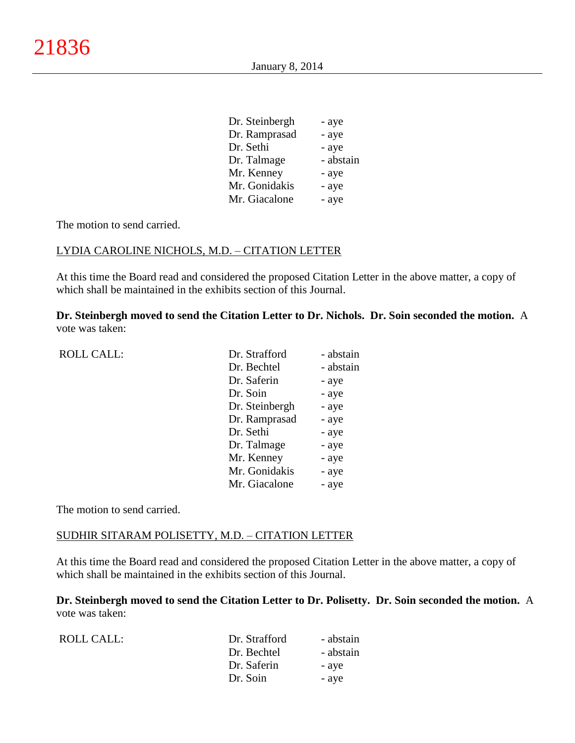| Dr. Steinbergh | - aye     |
|----------------|-----------|
| Dr. Ramprasad  | - aye     |
| Dr. Sethi      | - aye     |
| Dr. Talmage    | - abstain |
| Mr. Kenney     | - aye     |
| Mr. Gonidakis  | - aye     |
| Mr. Giacalone  | - aye     |

### LYDIA CAROLINE NICHOLS, M.D. – CITATION LETTER

At this time the Board read and considered the proposed Citation Letter in the above matter, a copy of which shall be maintained in the exhibits section of this Journal.

**Dr. Steinbergh moved to send the Citation Letter to Dr. Nichols. Dr. Soin seconded the motion.** A vote was taken:

| <b>ROLL CALL:</b> | Dr. Strafford  | - abstain |
|-------------------|----------------|-----------|
|                   | Dr. Bechtel    | - abstain |
|                   | Dr. Saferin    | - aye     |
|                   | Dr. Soin       | - aye     |
|                   | Dr. Steinbergh | - aye     |
|                   | Dr. Ramprasad  | - aye     |
|                   | Dr. Sethi      | - aye     |
|                   | Dr. Talmage    | - aye     |
|                   | Mr. Kenney     | - aye     |
|                   | Mr. Gonidakis  | - aye     |
|                   | Mr. Giacalone  | - aye     |
|                   |                |           |

The motion to send carried.

### SUDHIR SITARAM POLISETTY, M.D. – CITATION LETTER

At this time the Board read and considered the proposed Citation Letter in the above matter, a copy of which shall be maintained in the exhibits section of this Journal.

**Dr. Steinbergh moved to send the Citation Letter to Dr. Polisetty. Dr. Soin seconded the motion.** A vote was taken:

| ROLL CALL: | Dr. Strafford | - abstain |
|------------|---------------|-----------|
|            | Dr. Bechtel   | - abstain |
|            | Dr. Saferin   | - aye     |
|            | Dr. Soin      | - aye     |
|            |               |           |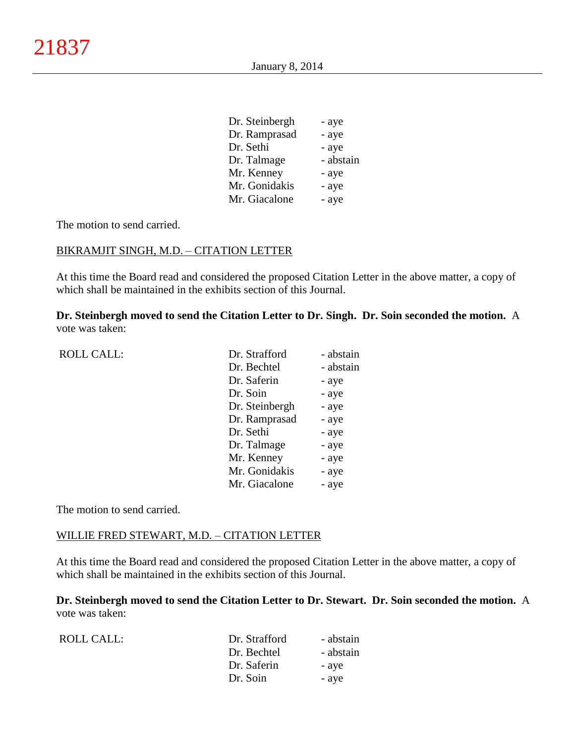| Dr. Steinbergh | - aye     |
|----------------|-----------|
| Dr. Ramprasad  | - aye     |
| Dr. Sethi      | - aye     |
| Dr. Talmage    | - abstain |
| Mr. Kenney     | - aye     |
| Mr. Gonidakis  | - aye     |
| Mr. Giacalone  | - aye     |

### BIKRAMJIT SINGH, M.D. – CITATION LETTER

At this time the Board read and considered the proposed Citation Letter in the above matter, a copy of which shall be maintained in the exhibits section of this Journal.

**Dr. Steinbergh moved to send the Citation Letter to Dr. Singh. Dr. Soin seconded the motion.** A vote was taken:

| <b>ROLL CALL:</b> | Dr. Strafford  | - abstain |
|-------------------|----------------|-----------|
|                   | Dr. Bechtel    | - abstain |
|                   | Dr. Saferin    | - aye     |
|                   | Dr. Soin       | - aye     |
|                   | Dr. Steinbergh | - aye     |
|                   | Dr. Ramprasad  | - aye     |
|                   | Dr. Sethi      | - aye     |
|                   | Dr. Talmage    | - aye     |
|                   | Mr. Kenney     | - aye     |
|                   | Mr. Gonidakis  | - aye     |
|                   | Mr. Giacalone  | - aye     |
|                   |                |           |

The motion to send carried.

### WILLIE FRED STEWART, M.D. – CITATION LETTER

At this time the Board read and considered the proposed Citation Letter in the above matter, a copy of which shall be maintained in the exhibits section of this Journal.

**Dr. Steinbergh moved to send the Citation Letter to Dr. Stewart. Dr. Soin seconded the motion.** A vote was taken:

| ROLL CALL: | Dr. Strafford | - abstain |
|------------|---------------|-----------|
|            | Dr. Bechtel   | - abstain |
|            | Dr. Saferin   | - aye     |
|            | Dr. Soin      | - aye     |
|            |               |           |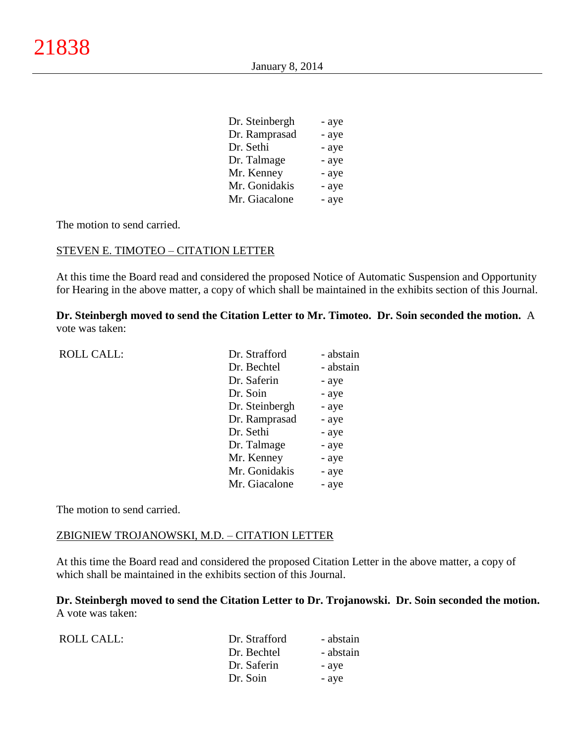| Dr. Steinbergh | - aye |
|----------------|-------|
| Dr. Ramprasad  | - aye |
| Dr. Sethi      | - aye |
| Dr. Talmage    | - aye |
| Mr. Kenney     | - aye |
| Mr. Gonidakis  | - aye |
| Mr. Giacalone  | - aye |
|                |       |

### STEVEN E. TIMOTEO – CITATION LETTER

At this time the Board read and considered the proposed Notice of Automatic Suspension and Opportunity for Hearing in the above matter, a copy of which shall be maintained in the exhibits section of this Journal.

**Dr. Steinbergh moved to send the Citation Letter to Mr. Timoteo. Dr. Soin seconded the motion.** A vote was taken:

| <b>ROLL CALL:</b> | Dr. Strafford  | - abstain |
|-------------------|----------------|-----------|
|                   | Dr. Bechtel    | - abstain |
|                   | Dr. Saferin    | - aye     |
|                   | Dr. Soin       | - aye     |
|                   | Dr. Steinbergh | - aye     |
|                   | Dr. Ramprasad  | - aye     |
|                   | Dr. Sethi      | - aye     |
|                   | Dr. Talmage    | - aye     |
|                   | Mr. Kenney     | - aye     |
|                   | Mr. Gonidakis  | - aye     |
|                   | Mr. Giacalone  | - aye     |
|                   |                |           |

The motion to send carried.

### ZBIGNIEW TROJANOWSKI, M.D. – CITATION LETTER

At this time the Board read and considered the proposed Citation Letter in the above matter, a copy of which shall be maintained in the exhibits section of this Journal.

**Dr. Steinbergh moved to send the Citation Letter to Dr. Trojanowski. Dr. Soin seconded the motion.** A vote was taken:

| ROLL CALL: | Dr. Strafford | - abstain |
|------------|---------------|-----------|
|            | Dr. Bechtel   | - abstain |
|            | Dr. Saferin   | - aye     |
|            | Dr. Soin      | - aye     |
|            |               |           |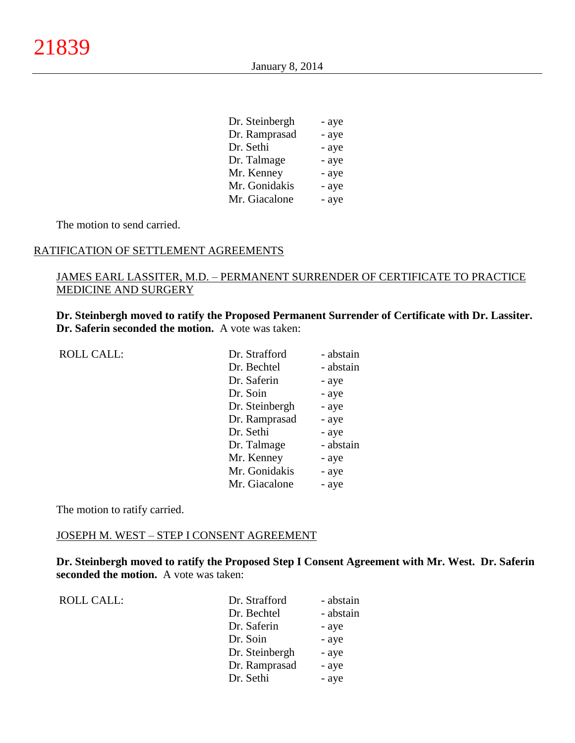| Dr. Steinbergh | - aye |
|----------------|-------|
| Dr. Ramprasad  | - aye |
| Dr. Sethi      | - aye |
| Dr. Talmage    | - aye |
| Mr. Kenney     | - aye |
| Mr. Gonidakis  | - aye |
| Mr. Giacalone  | - aye |

#### RATIFICATION OF SETTLEMENT AGREEMENTS

# JAMES EARL LASSITER, M.D. – PERMANENT SURRENDER OF CERTIFICATE TO PRACTICE MEDICINE AND SURGERY

**Dr. Steinbergh moved to ratify the Proposed Permanent Surrender of Certificate with Dr. Lassiter. Dr. Saferin seconded the motion.** A vote was taken:

| <b>ROLL CALL:</b> | Dr. Strafford  | - abstain |
|-------------------|----------------|-----------|
|                   | Dr. Bechtel    | - abstain |
|                   | Dr. Saferin    | - aye     |
|                   | Dr. Soin       | - aye     |
|                   | Dr. Steinbergh | - aye     |
|                   | Dr. Ramprasad  | - aye     |
|                   | Dr. Sethi      | - aye     |
|                   | Dr. Talmage    | - abstain |
|                   | Mr. Kenney     | - aye     |
|                   | Mr. Gonidakis  | - aye     |
|                   | Mr. Giacalone  | - aye     |
|                   |                |           |

The motion to ratify carried.

### JOSEPH M. WEST – STEP I CONSENT AGREEMENT

**Dr. Steinbergh moved to ratify the Proposed Step I Consent Agreement with Mr. West. Dr. Saferin seconded the motion.** A vote was taken:

| <b>ROLL CALL:</b> | Dr. Strafford  | - abstain |
|-------------------|----------------|-----------|
|                   | Dr. Bechtel    | - abstain |
|                   | Dr. Saferin    | - aye     |
|                   | Dr. Soin       | - aye     |
|                   | Dr. Steinbergh | - aye     |
|                   | Dr. Ramprasad  | - aye     |
|                   | Dr. Sethi      | - aye     |
|                   |                |           |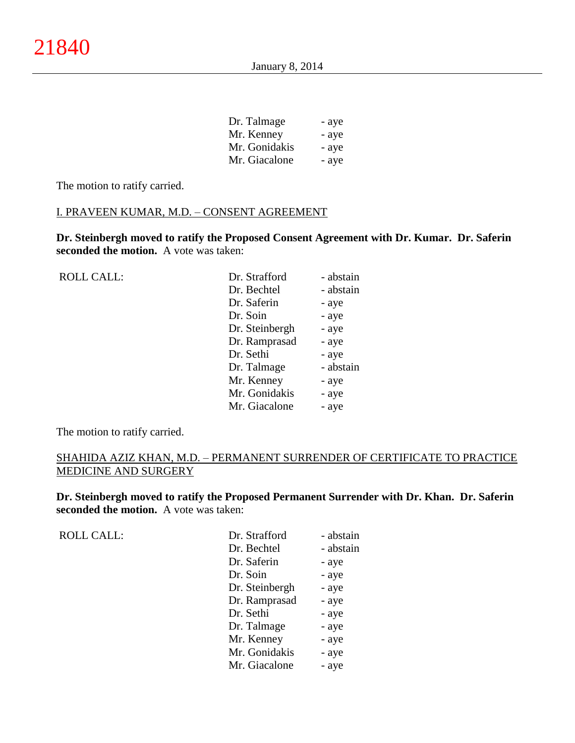| Dr. Talmage   | - aye |
|---------------|-------|
| Mr. Kenney    | - aye |
| Mr. Gonidakis | - aye |
| Mr. Giacalone | - aye |

The motion to ratify carried.

# I. PRAVEEN KUMAR, M.D. – CONSENT AGREEMENT

**Dr. Steinbergh moved to ratify the Proposed Consent Agreement with Dr. Kumar. Dr. Saferin seconded the motion.** A vote was taken:

| <b>ROLL CALL:</b> | Dr. Strafford  | - abstain |
|-------------------|----------------|-----------|
|                   | Dr. Bechtel    | - abstain |
|                   | Dr. Saferin    | - aye     |
|                   | Dr. Soin       | - aye     |
|                   | Dr. Steinbergh | - aye     |
|                   | Dr. Ramprasad  | - aye     |
|                   | Dr. Sethi      | - aye     |
|                   | Dr. Talmage    | - abstain |
|                   | Mr. Kenney     | - aye     |
|                   | Mr. Gonidakis  | - aye     |
|                   | Mr. Giacalone  | - aye     |
|                   |                |           |

The motion to ratify carried.

# SHAHIDA AZIZ KHAN, M.D. – PERMANENT SURRENDER OF CERTIFICATE TO PRACTICE MEDICINE AND SURGERY

**Dr. Steinbergh moved to ratify the Proposed Permanent Surrender with Dr. Khan. Dr. Saferin seconded the motion.** A vote was taken:

ROLL CALL:

| Dr. Strafford  | - abstain |
|----------------|-----------|
| Dr. Bechtel    | - abstain |
| Dr. Saferin    | - aye     |
| Dr. Soin       | - aye     |
| Dr. Steinbergh | - aye     |
| Dr. Ramprasad  | - aye     |
| Dr. Sethi      | - aye     |
| Dr. Talmage    | - aye     |
| Mr. Kenney     | - aye     |
| Mr. Gonidakis  | - aye     |
| Mr. Giacalone  | - aye     |
|                |           |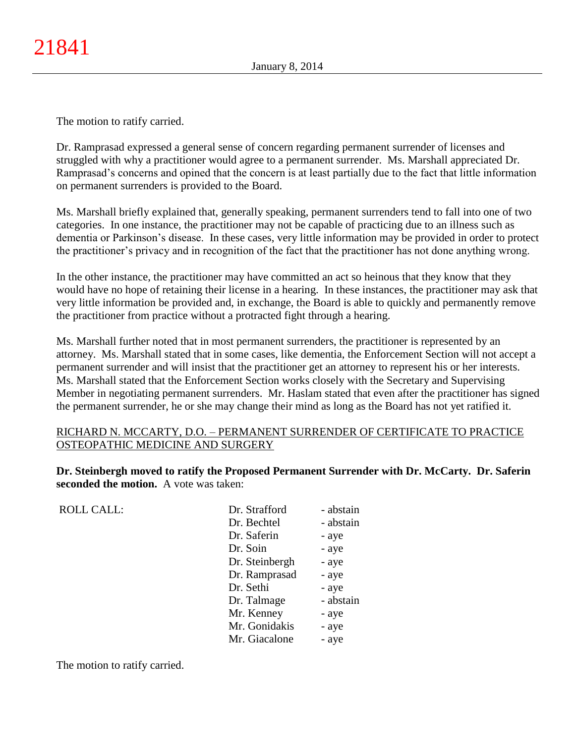The motion to ratify carried.

Dr. Ramprasad expressed a general sense of concern regarding permanent surrender of licenses and struggled with why a practitioner would agree to a permanent surrender. Ms. Marshall appreciated Dr. Ramprasad's concerns and opined that the concern is at least partially due to the fact that little information on permanent surrenders is provided to the Board.

Ms. Marshall briefly explained that, generally speaking, permanent surrenders tend to fall into one of two categories. In one instance, the practitioner may not be capable of practicing due to an illness such as dementia or Parkinson's disease. In these cases, very little information may be provided in order to protect the practitioner's privacy and in recognition of the fact that the practitioner has not done anything wrong.

In the other instance, the practitioner may have committed an act so heinous that they know that they would have no hope of retaining their license in a hearing. In these instances, the practitioner may ask that very little information be provided and, in exchange, the Board is able to quickly and permanently remove the practitioner from practice without a protracted fight through a hearing.

Ms. Marshall further noted that in most permanent surrenders, the practitioner is represented by an attorney. Ms. Marshall stated that in some cases, like dementia, the Enforcement Section will not accept a permanent surrender and will insist that the practitioner get an attorney to represent his or her interests. Ms. Marshall stated that the Enforcement Section works closely with the Secretary and Supervising Member in negotiating permanent surrenders. Mr. Haslam stated that even after the practitioner has signed the permanent surrender, he or she may change their mind as long as the Board has not yet ratified it.

# RICHARD N. MCCARTY, D.O. – PERMANENT SURRENDER OF CERTIFICATE TO PRACTICE OSTEOPATHIC MEDICINE AND SURGERY

**Dr. Steinbergh moved to ratify the Proposed Permanent Surrender with Dr. McCarty. Dr. Saferin seconded the motion.** A vote was taken:

ROLL CALL: Dr. Strafford - abstain

| ы. эйшли       | - аозіані |
|----------------|-----------|
| Dr. Bechtel    | - abstain |
| Dr. Saferin    | - aye     |
| Dr. Soin       | - aye     |
| Dr. Steinbergh | - aye     |
| Dr. Ramprasad  | - aye     |
| Dr. Sethi      | - aye     |
| Dr. Talmage    | - abstain |
| Mr. Kenney     | - aye     |
| Mr. Gonidakis  | - aye     |
| Mr. Giacalone  | - aye     |
|                |           |

The motion to ratify carried.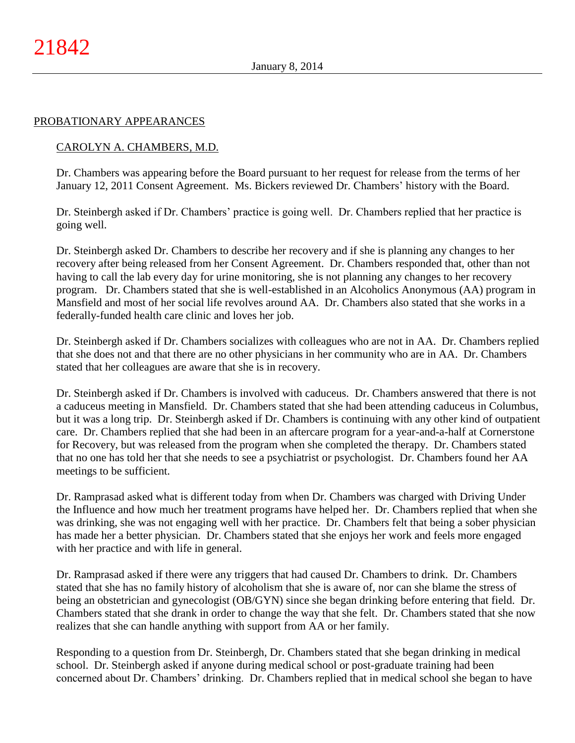### PROBATIONARY APPEARANCES

## CAROLYN A. CHAMBERS, M.D.

Dr. Chambers was appearing before the Board pursuant to her request for release from the terms of her January 12, 2011 Consent Agreement. Ms. Bickers reviewed Dr. Chambers' history with the Board.

Dr. Steinbergh asked if Dr. Chambers' practice is going well. Dr. Chambers replied that her practice is going well.

Dr. Steinbergh asked Dr. Chambers to describe her recovery and if she is planning any changes to her recovery after being released from her Consent Agreement. Dr. Chambers responded that, other than not having to call the lab every day for urine monitoring, she is not planning any changes to her recovery program. Dr. Chambers stated that she is well-established in an Alcoholics Anonymous (AA) program in Mansfield and most of her social life revolves around AA. Dr. Chambers also stated that she works in a federally-funded health care clinic and loves her job.

Dr. Steinbergh asked if Dr. Chambers socializes with colleagues who are not in AA. Dr. Chambers replied that she does not and that there are no other physicians in her community who are in AA. Dr. Chambers stated that her colleagues are aware that she is in recovery.

Dr. Steinbergh asked if Dr. Chambers is involved with caduceus. Dr. Chambers answered that there is not a caduceus meeting in Mansfield. Dr. Chambers stated that she had been attending caduceus in Columbus, but it was a long trip. Dr. Steinbergh asked if Dr. Chambers is continuing with any other kind of outpatient care. Dr. Chambers replied that she had been in an aftercare program for a year-and-a-half at Cornerstone for Recovery, but was released from the program when she completed the therapy. Dr. Chambers stated that no one has told her that she needs to see a psychiatrist or psychologist. Dr. Chambers found her AA meetings to be sufficient.

Dr. Ramprasad asked what is different today from when Dr. Chambers was charged with Driving Under the Influence and how much her treatment programs have helped her. Dr. Chambers replied that when she was drinking, she was not engaging well with her practice. Dr. Chambers felt that being a sober physician has made her a better physician. Dr. Chambers stated that she enjoys her work and feels more engaged with her practice and with life in general.

Dr. Ramprasad asked if there were any triggers that had caused Dr. Chambers to drink. Dr. Chambers stated that she has no family history of alcoholism that she is aware of, nor can she blame the stress of being an obstetrician and gynecologist (OB/GYN) since she began drinking before entering that field. Dr. Chambers stated that she drank in order to change the way that she felt. Dr. Chambers stated that she now realizes that she can handle anything with support from AA or her family.

Responding to a question from Dr. Steinbergh, Dr. Chambers stated that she began drinking in medical school. Dr. Steinbergh asked if anyone during medical school or post-graduate training had been concerned about Dr. Chambers' drinking. Dr. Chambers replied that in medical school she began to have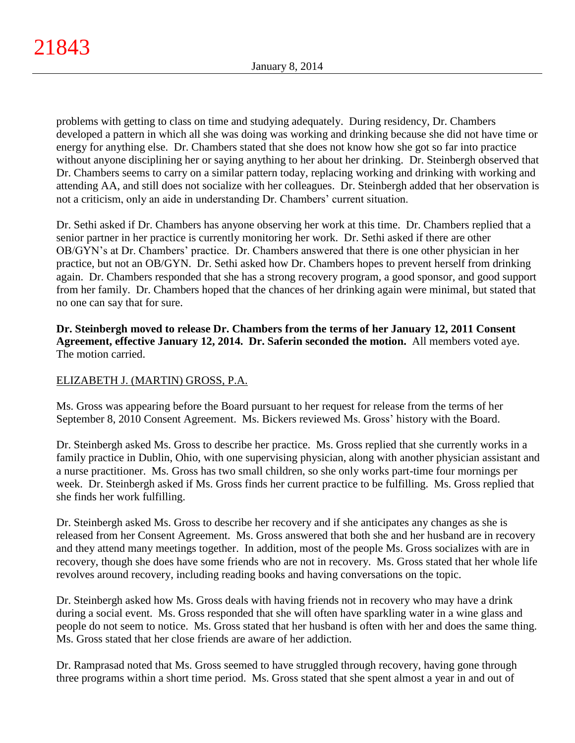problems with getting to class on time and studying adequately. During residency, Dr. Chambers developed a pattern in which all she was doing was working and drinking because she did not have time or energy for anything else. Dr. Chambers stated that she does not know how she got so far into practice without anyone disciplining her or saying anything to her about her drinking. Dr. Steinbergh observed that Dr. Chambers seems to carry on a similar pattern today, replacing working and drinking with working and attending AA, and still does not socialize with her colleagues. Dr. Steinbergh added that her observation is not a criticism, only an aide in understanding Dr. Chambers' current situation.

Dr. Sethi asked if Dr. Chambers has anyone observing her work at this time. Dr. Chambers replied that a senior partner in her practice is currently monitoring her work. Dr. Sethi asked if there are other OB/GYN's at Dr. Chambers' practice. Dr. Chambers answered that there is one other physician in her practice, but not an OB/GYN. Dr. Sethi asked how Dr. Chambers hopes to prevent herself from drinking again. Dr. Chambers responded that she has a strong recovery program, a good sponsor, and good support from her family. Dr. Chambers hoped that the chances of her drinking again were minimal, but stated that no one can say that for sure.

**Dr. Steinbergh moved to release Dr. Chambers from the terms of her January 12, 2011 Consent Agreement, effective January 12, 2014. Dr. Saferin seconded the motion.** All members voted aye. The motion carried.

# ELIZABETH J. (MARTIN) GROSS, P.A.

Ms. Gross was appearing before the Board pursuant to her request for release from the terms of her September 8, 2010 Consent Agreement. Ms. Bickers reviewed Ms. Gross' history with the Board.

Dr. Steinbergh asked Ms. Gross to describe her practice. Ms. Gross replied that she currently works in a family practice in Dublin, Ohio, with one supervising physician, along with another physician assistant and a nurse practitioner. Ms. Gross has two small children, so she only works part-time four mornings per week. Dr. Steinbergh asked if Ms. Gross finds her current practice to be fulfilling. Ms. Gross replied that she finds her work fulfilling.

Dr. Steinbergh asked Ms. Gross to describe her recovery and if she anticipates any changes as she is released from her Consent Agreement. Ms. Gross answered that both she and her husband are in recovery and they attend many meetings together. In addition, most of the people Ms. Gross socializes with are in recovery, though she does have some friends who are not in recovery. Ms. Gross stated that her whole life revolves around recovery, including reading books and having conversations on the topic.

Dr. Steinbergh asked how Ms. Gross deals with having friends not in recovery who may have a drink during a social event. Ms. Gross responded that she will often have sparkling water in a wine glass and people do not seem to notice. Ms. Gross stated that her husband is often with her and does the same thing. Ms. Gross stated that her close friends are aware of her addiction.

Dr. Ramprasad noted that Ms. Gross seemed to have struggled through recovery, having gone through three programs within a short time period. Ms. Gross stated that she spent almost a year in and out of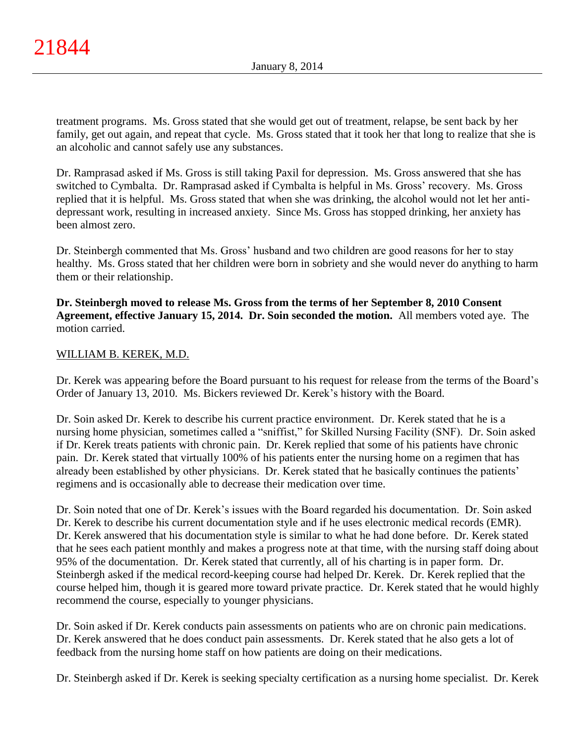treatment programs. Ms. Gross stated that she would get out of treatment, relapse, be sent back by her family, get out again, and repeat that cycle. Ms. Gross stated that it took her that long to realize that she is an alcoholic and cannot safely use any substances.

Dr. Ramprasad asked if Ms. Gross is still taking Paxil for depression. Ms. Gross answered that she has switched to Cymbalta. Dr. Ramprasad asked if Cymbalta is helpful in Ms. Gross' recovery. Ms. Gross replied that it is helpful. Ms. Gross stated that when she was drinking, the alcohol would not let her antidepressant work, resulting in increased anxiety. Since Ms. Gross has stopped drinking, her anxiety has been almost zero.

Dr. Steinbergh commented that Ms. Gross' husband and two children are good reasons for her to stay healthy. Ms. Gross stated that her children were born in sobriety and she would never do anything to harm them or their relationship.

**Dr. Steinbergh moved to release Ms. Gross from the terms of her September 8, 2010 Consent Agreement, effective January 15, 2014. Dr. Soin seconded the motion.** All members voted aye. The motion carried.

# WILLIAM B. KEREK, M.D.

Dr. Kerek was appearing before the Board pursuant to his request for release from the terms of the Board's Order of January 13, 2010. Ms. Bickers reviewed Dr. Kerek's history with the Board.

Dr. Soin asked Dr. Kerek to describe his current practice environment. Dr. Kerek stated that he is a nursing home physician, sometimes called a "sniffist," for Skilled Nursing Facility (SNF). Dr. Soin asked if Dr. Kerek treats patients with chronic pain. Dr. Kerek replied that some of his patients have chronic pain. Dr. Kerek stated that virtually 100% of his patients enter the nursing home on a regimen that has already been established by other physicians. Dr. Kerek stated that he basically continues the patients' regimens and is occasionally able to decrease their medication over time.

Dr. Soin noted that one of Dr. Kerek's issues with the Board regarded his documentation. Dr. Soin asked Dr. Kerek to describe his current documentation style and if he uses electronic medical records (EMR). Dr. Kerek answered that his documentation style is similar to what he had done before. Dr. Kerek stated that he sees each patient monthly and makes a progress note at that time, with the nursing staff doing about 95% of the documentation. Dr. Kerek stated that currently, all of his charting is in paper form. Dr. Steinbergh asked if the medical record-keeping course had helped Dr. Kerek. Dr. Kerek replied that the course helped him, though it is geared more toward private practice. Dr. Kerek stated that he would highly recommend the course, especially to younger physicians.

Dr. Soin asked if Dr. Kerek conducts pain assessments on patients who are on chronic pain medications. Dr. Kerek answered that he does conduct pain assessments. Dr. Kerek stated that he also gets a lot of feedback from the nursing home staff on how patients are doing on their medications.

Dr. Steinbergh asked if Dr. Kerek is seeking specialty certification as a nursing home specialist. Dr. Kerek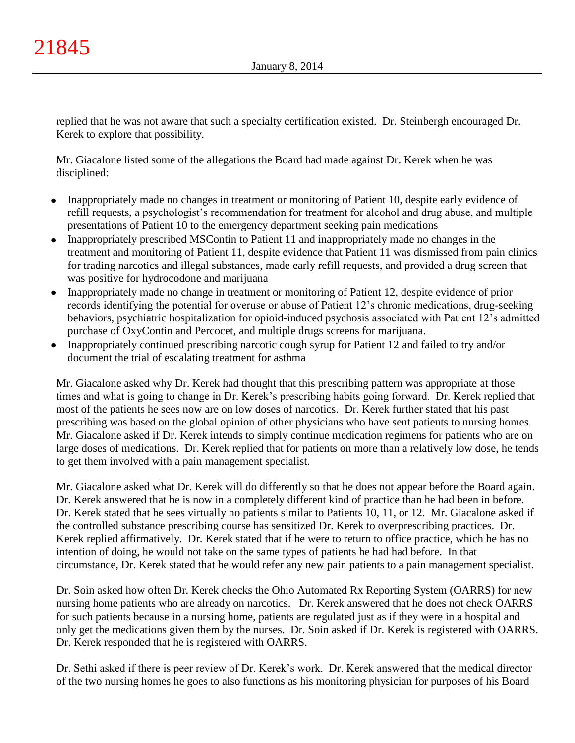replied that he was not aware that such a specialty certification existed. Dr. Steinbergh encouraged Dr. Kerek to explore that possibility.

Mr. Giacalone listed some of the allegations the Board had made against Dr. Kerek when he was disciplined:

- Inappropriately made no changes in treatment or monitoring of Patient 10, despite early evidence of  $\bullet$ refill requests, a psychologist's recommendation for treatment for alcohol and drug abuse, and multiple presentations of Patient 10 to the emergency department seeking pain medications
- Inappropriately prescribed MSContin to Patient 11 and inappropriately made no changes in the  $\bullet$ treatment and monitoring of Patient 11, despite evidence that Patient 11 was dismissed from pain clinics for trading narcotics and illegal substances, made early refill requests, and provided a drug screen that was positive for hydrocodone and marijuana
- Inappropriately made no change in treatment or monitoring of Patient 12, despite evidence of prior  $\bullet$ records identifying the potential for overuse or abuse of Patient 12's chronic medications, drug-seeking behaviors, psychiatric hospitalization for opioid-induced psychosis associated with Patient 12's admitted purchase of OxyContin and Percocet, and multiple drugs screens for marijuana.
- Inappropriately continued prescribing narcotic cough syrup for Patient 12 and failed to try and/or document the trial of escalating treatment for asthma

Mr. Giacalone asked why Dr. Kerek had thought that this prescribing pattern was appropriate at those times and what is going to change in Dr. Kerek's prescribing habits going forward. Dr. Kerek replied that most of the patients he sees now are on low doses of narcotics. Dr. Kerek further stated that his past prescribing was based on the global opinion of other physicians who have sent patients to nursing homes. Mr. Giacalone asked if Dr. Kerek intends to simply continue medication regimens for patients who are on large doses of medications. Dr. Kerek replied that for patients on more than a relatively low dose, he tends to get them involved with a pain management specialist.

Mr. Giacalone asked what Dr. Kerek will do differently so that he does not appear before the Board again. Dr. Kerek answered that he is now in a completely different kind of practice than he had been in before. Dr. Kerek stated that he sees virtually no patients similar to Patients 10, 11, or 12. Mr. Giacalone asked if the controlled substance prescribing course has sensitized Dr. Kerek to overprescribing practices. Dr. Kerek replied affirmatively. Dr. Kerek stated that if he were to return to office practice, which he has no intention of doing, he would not take on the same types of patients he had had before. In that circumstance, Dr. Kerek stated that he would refer any new pain patients to a pain management specialist.

Dr. Soin asked how often Dr. Kerek checks the Ohio Automated Rx Reporting System (OARRS) for new nursing home patients who are already on narcotics. Dr. Kerek answered that he does not check OARRS for such patients because in a nursing home, patients are regulated just as if they were in a hospital and only get the medications given them by the nurses. Dr. Soin asked if Dr. Kerek is registered with OARRS. Dr. Kerek responded that he is registered with OARRS.

Dr. Sethi asked if there is peer review of Dr. Kerek's work. Dr. Kerek answered that the medical director of the two nursing homes he goes to also functions as his monitoring physician for purposes of his Board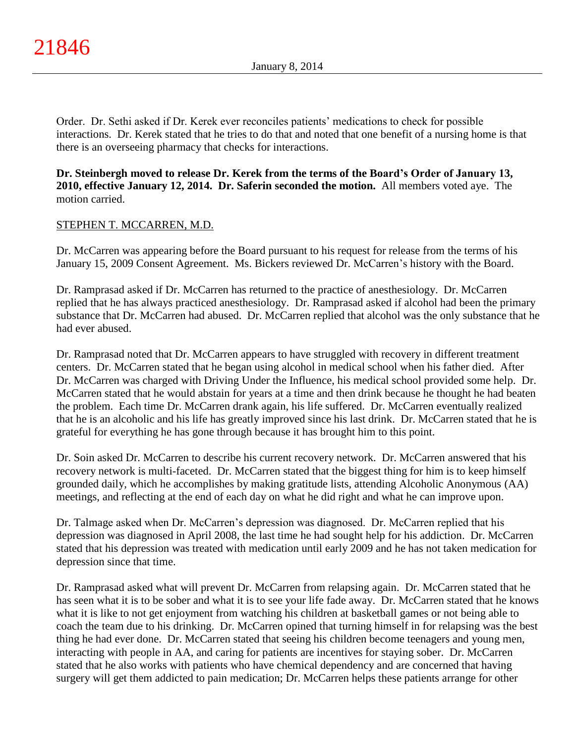Order. Dr. Sethi asked if Dr. Kerek ever reconciles patients' medications to check for possible interactions. Dr. Kerek stated that he tries to do that and noted that one benefit of a nursing home is that there is an overseeing pharmacy that checks for interactions.

**Dr. Steinbergh moved to release Dr. Kerek from the terms of the Board's Order of January 13, 2010, effective January 12, 2014. Dr. Saferin seconded the motion.** All members voted aye. The motion carried.

# STEPHEN T. MCCARREN, M.D.

Dr. McCarren was appearing before the Board pursuant to his request for release from the terms of his January 15, 2009 Consent Agreement. Ms. Bickers reviewed Dr. McCarren's history with the Board.

Dr. Ramprasad asked if Dr. McCarren has returned to the practice of anesthesiology. Dr. McCarren replied that he has always practiced anesthesiology. Dr. Ramprasad asked if alcohol had been the primary substance that Dr. McCarren had abused. Dr. McCarren replied that alcohol was the only substance that he had ever abused.

Dr. Ramprasad noted that Dr. McCarren appears to have struggled with recovery in different treatment centers. Dr. McCarren stated that he began using alcohol in medical school when his father died. After Dr. McCarren was charged with Driving Under the Influence, his medical school provided some help. Dr. McCarren stated that he would abstain for years at a time and then drink because he thought he had beaten the problem. Each time Dr. McCarren drank again, his life suffered. Dr. McCarren eventually realized that he is an alcoholic and his life has greatly improved since his last drink. Dr. McCarren stated that he is grateful for everything he has gone through because it has brought him to this point.

Dr. Soin asked Dr. McCarren to describe his current recovery network. Dr. McCarren answered that his recovery network is multi-faceted. Dr. McCarren stated that the biggest thing for him is to keep himself grounded daily, which he accomplishes by making gratitude lists, attending Alcoholic Anonymous (AA) meetings, and reflecting at the end of each day on what he did right and what he can improve upon.

Dr. Talmage asked when Dr. McCarren's depression was diagnosed. Dr. McCarren replied that his depression was diagnosed in April 2008, the last time he had sought help for his addiction. Dr. McCarren stated that his depression was treated with medication until early 2009 and he has not taken medication for depression since that time.

Dr. Ramprasad asked what will prevent Dr. McCarren from relapsing again. Dr. McCarren stated that he has seen what it is to be sober and what it is to see your life fade away. Dr. McCarren stated that he knows what it is like to not get enjoyment from watching his children at basketball games or not being able to coach the team due to his drinking. Dr. McCarren opined that turning himself in for relapsing was the best thing he had ever done. Dr. McCarren stated that seeing his children become teenagers and young men, interacting with people in AA, and caring for patients are incentives for staying sober. Dr. McCarren stated that he also works with patients who have chemical dependency and are concerned that having surgery will get them addicted to pain medication; Dr. McCarren helps these patients arrange for other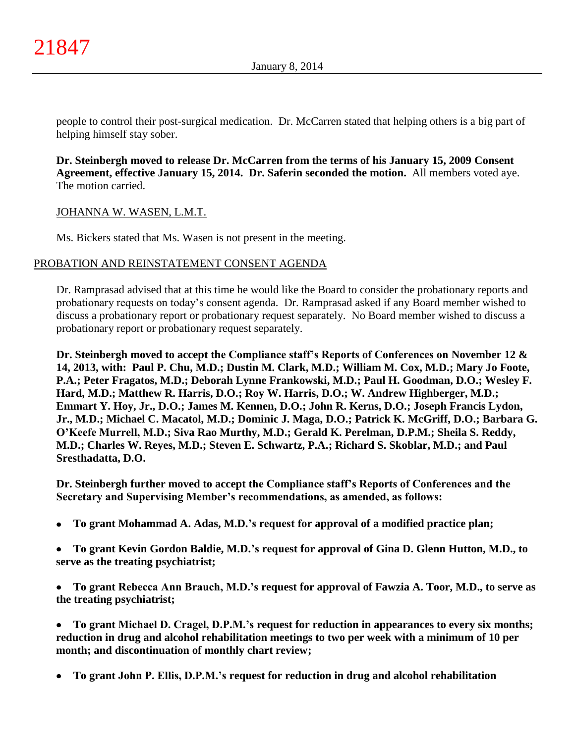people to control their post-surgical medication. Dr. McCarren stated that helping others is a big part of helping himself stay sober.

**Dr. Steinbergh moved to release Dr. McCarren from the terms of his January 15, 2009 Consent Agreement, effective January 15, 2014. Dr. Saferin seconded the motion.** All members voted aye. The motion carried.

# JOHANNA W. WASEN, L.M.T.

Ms. Bickers stated that Ms. Wasen is not present in the meeting.

## PROBATION AND REINSTATEMENT CONSENT AGENDA

Dr. Ramprasad advised that at this time he would like the Board to consider the probationary reports and probationary requests on today's consent agenda. Dr. Ramprasad asked if any Board member wished to discuss a probationary report or probationary request separately. No Board member wished to discuss a probationary report or probationary request separately.

**Dr. Steinbergh moved to accept the Compliance staff's Reports of Conferences on November 12 & 14, 2013, with: Paul P. Chu, M.D.; Dustin M. Clark, M.D.; William M. Cox, M.D.; Mary Jo Foote, P.A.; Peter Fragatos, M.D.; Deborah Lynne Frankowski, M.D.; Paul H. Goodman, D.O.; Wesley F. Hard, M.D.; Matthew R. Harris, D.O.; Roy W. Harris, D.O.; W. Andrew Highberger, M.D.; Emmart Y. Hoy, Jr., D.O.; James M. Kennen, D.O.; John R. Kerns, D.O.; Joseph Francis Lydon, Jr., M.D.; Michael C. Macatol, M.D.; Dominic J. Maga, D.O.; Patrick K. McGriff, D.O.; Barbara G. O'Keefe Murrell, M.D.; Siva Rao Murthy, M.D.; Gerald K. Perelman, D.P.M.; Sheila S. Reddy, M.D.; Charles W. Reyes, M.D.; Steven E. Schwartz, P.A.; Richard S. Skoblar, M.D.; and Paul Sresthadatta, D.O.**

**Dr. Steinbergh further moved to accept the Compliance staff's Reports of Conferences and the Secretary and Supervising Member's recommendations, as amended, as follows:**

- **To grant Mohammad A. Adas, M.D.'s request for approval of a modified practice plan;**  $\bullet$
- **To grant Kevin Gordon Baldie, M.D.'s request for approval of Gina D. Glenn Hutton, M.D., to**   $\bullet$ **serve as the treating psychiatrist;**
- **To grant Rebecca Ann Brauch, M.D.'s request for approval of Fawzia A. Toor, M.D., to serve as the treating psychiatrist;**
- **To grant Michael D. Cragel, D.P.M.'s request for reduction in appearances to every six months;**   $\bullet$ **reduction in drug and alcohol rehabilitation meetings to two per week with a minimum of 10 per month; and discontinuation of monthly chart review;**
- **To grant John P. Ellis, D.P.M.'s request for reduction in drug and alcohol rehabilitation**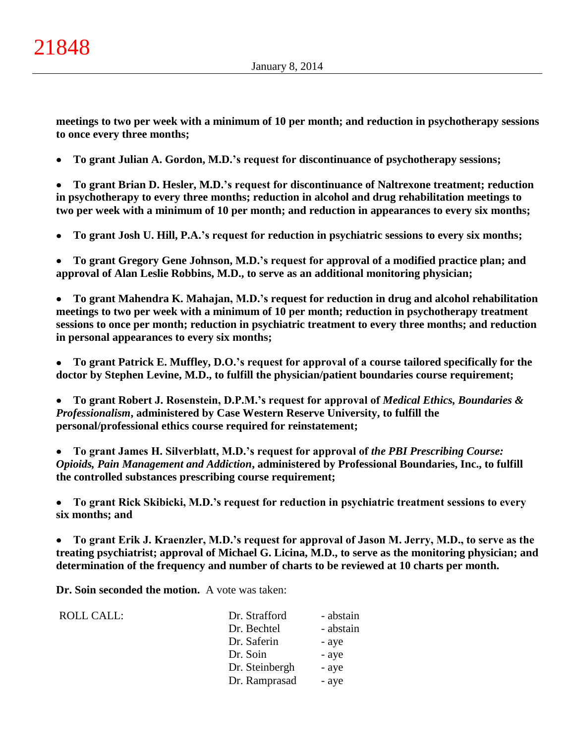**meetings to two per week with a minimum of 10 per month; and reduction in psychotherapy sessions to once every three months;**

**To grant Julian A. Gordon, M.D.'s request for discontinuance of psychotherapy sessions;**  $\bullet$ 

**To grant Brian D. Hesler, M.D.'s request for discontinuance of Naltrexone treatment; reduction**   $\bullet$ **in psychotherapy to every three months; reduction in alcohol and drug rehabilitation meetings to two per week with a minimum of 10 per month; and reduction in appearances to every six months;**

**To grant Josh U. Hill, P.A.'s request for reduction in psychiatric sessions to every six months;**  $\bullet$ 

**To grant Gregory Gene Johnson, M.D.'s request for approval of a modified practice plan; and**   $\bullet$ **approval of Alan Leslie Robbins, M.D., to serve as an additional monitoring physician;**

**To grant Mahendra K. Mahajan, M.D.'s request for reduction in drug and alcohol rehabilitation**   $\bullet$ **meetings to two per week with a minimum of 10 per month; reduction in psychotherapy treatment sessions to once per month; reduction in psychiatric treatment to every three months; and reduction in personal appearances to every six months;**

**To grant Patrick E. Muffley, D.O.'s request for approval of a course tailored specifically for the**   $\bullet$ **doctor by Stephen Levine, M.D., to fulfill the physician/patient boundaries course requirement;**

**To grant Robert J. Rosenstein, D.P.M.'s request for approval of** *Medical Ethics, Boundaries &*   $\bullet$ *Professionalism***, administered by Case Western Reserve University, to fulfill the personal/professional ethics course required for reinstatement;**

**To grant James H. Silverblatt, M.D.'s request for approval of** *the PBI Prescribing Course:*   $\bullet$ *Opioids, Pain Management and Addiction***, administered by Professional Boundaries, Inc., to fulfill the controlled substances prescribing course requirement;**

**To grant Rick Skibicki, M.D.'s request for reduction in psychiatric treatment sessions to every**   $\bullet$ **six months; and**

 $\bullet$ **To grant Erik J. Kraenzler, M.D.'s request for approval of Jason M. Jerry, M.D., to serve as the treating psychiatrist; approval of Michael G. Licina, M.D., to serve as the monitoring physician; and determination of the frequency and number of charts to be reviewed at 10 charts per month.**

**Dr. Soin seconded the motion.** A vote was taken:

| ROLL CALL: | Dr. Strafford  | - abstain |
|------------|----------------|-----------|
|            | Dr. Bechtel    | - abstain |
|            | Dr. Saferin    | - aye     |
|            | Dr. Soin       | - aye     |
|            | Dr. Steinbergh | - aye     |
|            | Dr. Ramprasad  | - aye     |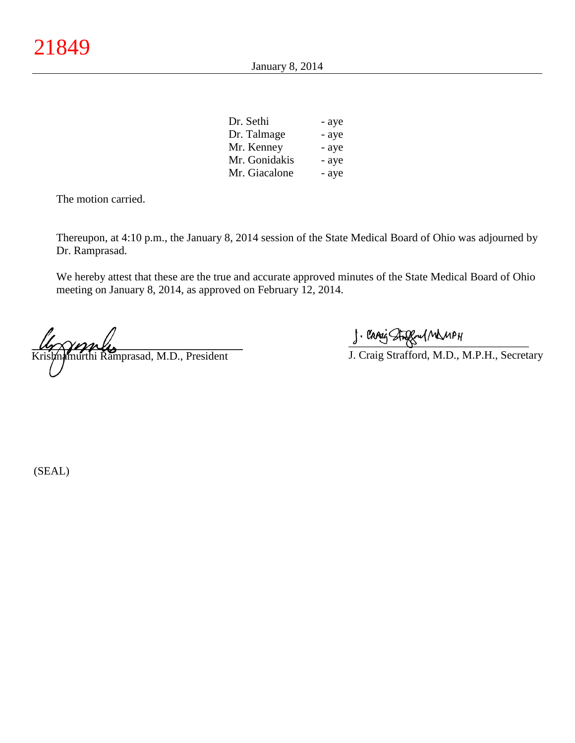January 8, 2014

| Dr. Sethi     | - aye |
|---------------|-------|
| Dr. Talmage   | - aye |
| Mr. Kenney    | - aye |
| Mr. Gonidakis | - aye |
| Mr. Giacalone | - aye |

The motion carried.

Thereupon, at 4:10 p.m., the January 8, 2014 session of the State Medical Board of Ohio was adjourned by Dr. Ramprasad.

We hereby attest that these are the true and accurate approved minutes of the State Medical Board of Ohio meeting on January 8, 2014, as approved on February 12, 2014.

 $\mu_{\gamma}$   $\gamma_{\gamma}$   $\mu_{\gamma}$ Krishnamurthi Ramprasad, M.D., President

 $\frac{1}{2}$  and since  $\frac{1}{2}$ 

J. Craig Strafford, M.D., M.P.H., Secretary

(SEAL)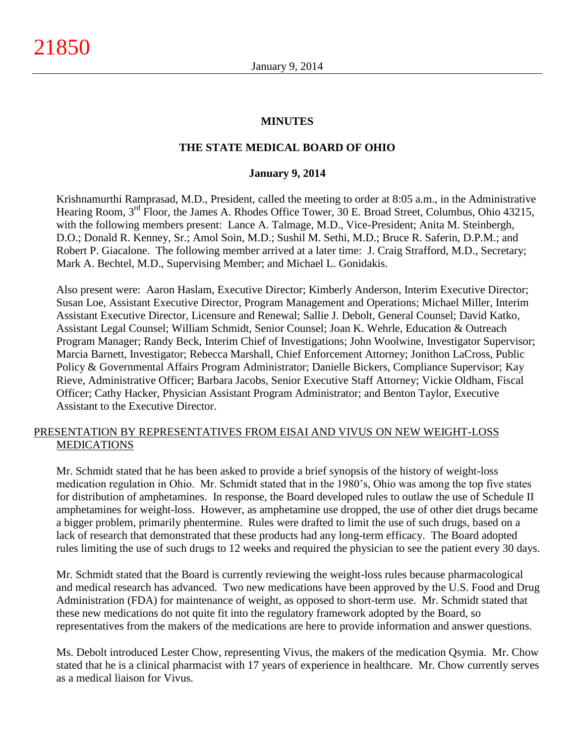### **MINUTES**

### **THE STATE MEDICAL BOARD OF OHIO**

#### **January 9, 2014**

Krishnamurthi Ramprasad, M.D., President, called the meeting to order at 8:05 a.m., in the Administrative Hearing Room, 3<sup>rd</sup> Floor, the James A. Rhodes Office Tower, 30 E. Broad Street, Columbus, Ohio 43215, with the following members present: Lance A. Talmage, M.D., Vice-President; Anita M. Steinbergh, D.O.; Donald R. Kenney, Sr.; Amol Soin, M.D.; Sushil M. Sethi, M.D.; Bruce R. Saferin, D.P.M.; and Robert P. Giacalone. The following member arrived at a later time: J. Craig Strafford, M.D., Secretary; Mark A. Bechtel, M.D., Supervising Member; and Michael L. Gonidakis.

Also present were: Aaron Haslam, Executive Director; Kimberly Anderson, Interim Executive Director; Susan Loe, Assistant Executive Director, Program Management and Operations; Michael Miller, Interim Assistant Executive Director, Licensure and Renewal; Sallie J. Debolt, General Counsel; David Katko, Assistant Legal Counsel; William Schmidt, Senior Counsel; Joan K. Wehrle, Education & Outreach Program Manager; Randy Beck, Interim Chief of Investigations; John Woolwine, Investigator Supervisor; Marcia Barnett, Investigator; Rebecca Marshall, Chief Enforcement Attorney; Jonithon LaCross, Public Policy & Governmental Affairs Program Administrator; Danielle Bickers, Compliance Supervisor; Kay Rieve, Administrative Officer; Barbara Jacobs, Senior Executive Staff Attorney; Vickie Oldham, Fiscal Officer; Cathy Hacker, Physician Assistant Program Administrator; and Benton Taylor, Executive Assistant to the Executive Director.

## PRESENTATION BY REPRESENTATIVES FROM EISAI AND VIVUS ON NEW WEIGHT-LOSS **MEDICATIONS**

Mr. Schmidt stated that he has been asked to provide a brief synopsis of the history of weight-loss medication regulation in Ohio. Mr. Schmidt stated that in the 1980's, Ohio was among the top five states for distribution of amphetamines. In response, the Board developed rules to outlaw the use of Schedule II amphetamines for weight-loss. However, as amphetamine use dropped, the use of other diet drugs became a bigger problem, primarily phentermine. Rules were drafted to limit the use of such drugs, based on a lack of research that demonstrated that these products had any long-term efficacy. The Board adopted rules limiting the use of such drugs to 12 weeks and required the physician to see the patient every 30 days.

Mr. Schmidt stated that the Board is currently reviewing the weight-loss rules because pharmacological and medical research has advanced. Two new medications have been approved by the U.S. Food and Drug Administration (FDA) for maintenance of weight, as opposed to short-term use. Mr. Schmidt stated that these new medications do not quite fit into the regulatory framework adopted by the Board, so representatives from the makers of the medications are here to provide information and answer questions.

Ms. Debolt introduced Lester Chow, representing Vivus, the makers of the medication Qsymia. Mr. Chow stated that he is a clinical pharmacist with 17 years of experience in healthcare. Mr. Chow currently serves as a medical liaison for Vivus.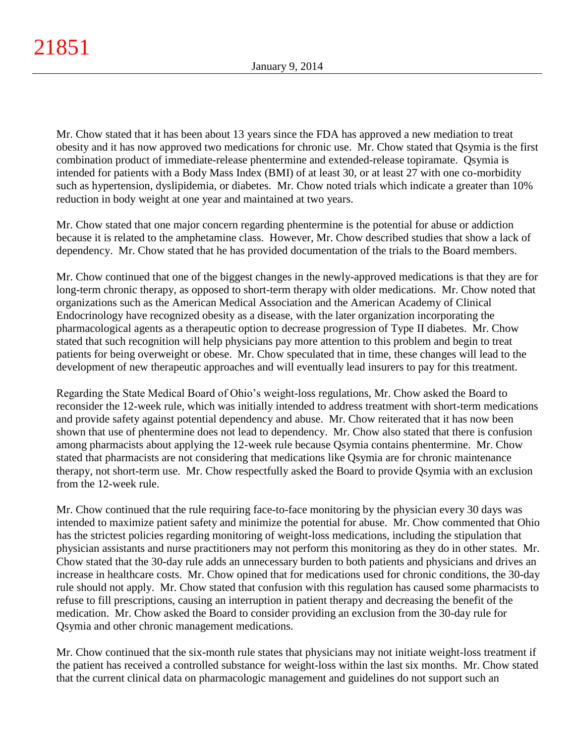Mr. Chow stated that it has been about 13 years since the FDA has approved a new mediation to treat obesity and it has now approved two medications for chronic use. Mr. Chow stated that Qsymia is the first combination product of immediate-release phentermine and extended-release topiramate. Qsymia is intended for patients with a Body Mass Index (BMI) of at least 30, or at least 27 with one co-morbidity such as hypertension, dyslipidemia, or diabetes. Mr. Chow noted trials which indicate a greater than 10% reduction in body weight at one year and maintained at two years.

Mr. Chow stated that one major concern regarding phentermine is the potential for abuse or addiction because it is related to the amphetamine class. However, Mr. Chow described studies that show a lack of dependency. Mr. Chow stated that he has provided documentation of the trials to the Board members.

Mr. Chow continued that one of the biggest changes in the newly-approved medications is that they are for long-term chronic therapy, as opposed to short-term therapy with older medications. Mr. Chow noted that organizations such as the American Medical Association and the American Academy of Clinical Endocrinology have recognized obesity as a disease, with the later organization incorporating the pharmacological agents as a therapeutic option to decrease progression of Type II diabetes. Mr. Chow stated that such recognition will help physicians pay more attention to this problem and begin to treat patients for being overweight or obese. Mr. Chow speculated that in time, these changes will lead to the development of new therapeutic approaches and will eventually lead insurers to pay for this treatment.

Regarding the State Medical Board of Ohio's weight-loss regulations, Mr. Chow asked the Board to reconsider the 12-week rule, which was initially intended to address treatment with short-term medications and provide safety against potential dependency and abuse. Mr. Chow reiterated that it has now been shown that use of phentermine does not lead to dependency. Mr. Chow also stated that there is confusion among pharmacists about applying the 12-week rule because Qsymia contains phentermine. Mr. Chow stated that pharmacists are not considering that medications like Qsymia are for chronic maintenance therapy, not short-term use. Mr. Chow respectfully asked the Board to provide Qsymia with an exclusion from the 12-week rule.

Mr. Chow continued that the rule requiring face-to-face monitoring by the physician every 30 days was intended to maximize patient safety and minimize the potential for abuse. Mr. Chow commented that Ohio has the strictest policies regarding monitoring of weight-loss medications, including the stipulation that physician assistants and nurse practitioners may not perform this monitoring as they do in other states. Mr. Chow stated that the 30-day rule adds an unnecessary burden to both patients and physicians and drives an increase in healthcare costs. Mr. Chow opined that for medications used for chronic conditions, the 30-day rule should not apply. Mr. Chow stated that confusion with this regulation has caused some pharmacists to refuse to fill prescriptions, causing an interruption in patient therapy and decreasing the benefit of the medication. Mr. Chow asked the Board to consider providing an exclusion from the 30-day rule for Qsymia and other chronic management medications.

Mr. Chow continued that the six-month rule states that physicians may not initiate weight-loss treatment if the patient has received a controlled substance for weight-loss within the last six months. Mr. Chow stated that the current clinical data on pharmacologic management and guidelines do not support such an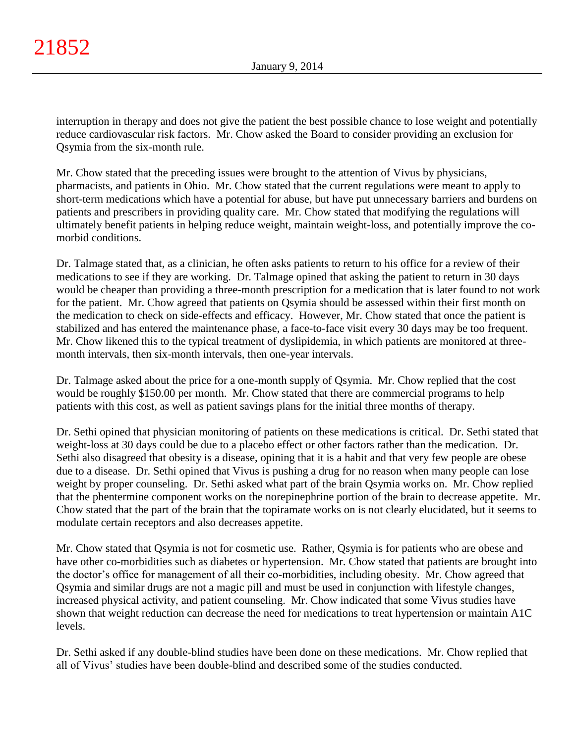interruption in therapy and does not give the patient the best possible chance to lose weight and potentially reduce cardiovascular risk factors. Mr. Chow asked the Board to consider providing an exclusion for Qsymia from the six-month rule.

Mr. Chow stated that the preceding issues were brought to the attention of Vivus by physicians, pharmacists, and patients in Ohio. Mr. Chow stated that the current regulations were meant to apply to short-term medications which have a potential for abuse, but have put unnecessary barriers and burdens on patients and prescribers in providing quality care. Mr. Chow stated that modifying the regulations will ultimately benefit patients in helping reduce weight, maintain weight-loss, and potentially improve the comorbid conditions.

Dr. Talmage stated that, as a clinician, he often asks patients to return to his office for a review of their medications to see if they are working. Dr. Talmage opined that asking the patient to return in 30 days would be cheaper than providing a three-month prescription for a medication that is later found to not work for the patient. Mr. Chow agreed that patients on Qsymia should be assessed within their first month on the medication to check on side-effects and efficacy. However, Mr. Chow stated that once the patient is stabilized and has entered the maintenance phase, a face-to-face visit every 30 days may be too frequent. Mr. Chow likened this to the typical treatment of dyslipidemia, in which patients are monitored at threemonth intervals, then six-month intervals, then one-year intervals.

Dr. Talmage asked about the price for a one-month supply of Qsymia. Mr. Chow replied that the cost would be roughly \$150.00 per month. Mr. Chow stated that there are commercial programs to help patients with this cost, as well as patient savings plans for the initial three months of therapy.

Dr. Sethi opined that physician monitoring of patients on these medications is critical. Dr. Sethi stated that weight-loss at 30 days could be due to a placebo effect or other factors rather than the medication. Dr. Sethi also disagreed that obesity is a disease, opining that it is a habit and that very few people are obese due to a disease. Dr. Sethi opined that Vivus is pushing a drug for no reason when many people can lose weight by proper counseling. Dr. Sethi asked what part of the brain Qsymia works on. Mr. Chow replied that the phentermine component works on the norepinephrine portion of the brain to decrease appetite. Mr. Chow stated that the part of the brain that the topiramate works on is not clearly elucidated, but it seems to modulate certain receptors and also decreases appetite.

Mr. Chow stated that Qsymia is not for cosmetic use. Rather, Qsymia is for patients who are obese and have other co-morbidities such as diabetes or hypertension. Mr. Chow stated that patients are brought into the doctor's office for management of all their co-morbidities, including obesity. Mr. Chow agreed that Qsymia and similar drugs are not a magic pill and must be used in conjunction with lifestyle changes, increased physical activity, and patient counseling. Mr. Chow indicated that some Vivus studies have shown that weight reduction can decrease the need for medications to treat hypertension or maintain A1C levels.

Dr. Sethi asked if any double-blind studies have been done on these medications. Mr. Chow replied that all of Vivus' studies have been double-blind and described some of the studies conducted.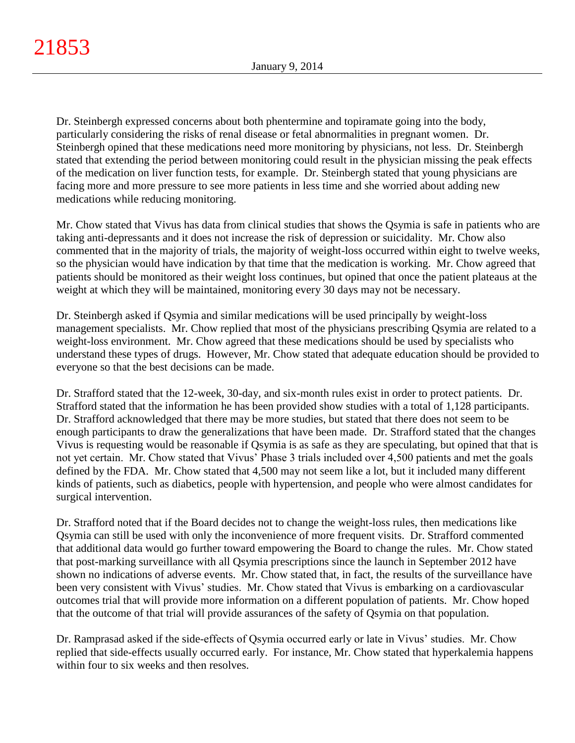Dr. Steinbergh expressed concerns about both phentermine and topiramate going into the body, particularly considering the risks of renal disease or fetal abnormalities in pregnant women. Dr. Steinbergh opined that these medications need more monitoring by physicians, not less. Dr. Steinbergh stated that extending the period between monitoring could result in the physician missing the peak effects of the medication on liver function tests, for example. Dr. Steinbergh stated that young physicians are facing more and more pressure to see more patients in less time and she worried about adding new medications while reducing monitoring.

Mr. Chow stated that Vivus has data from clinical studies that shows the Qsymia is safe in patients who are taking anti-depressants and it does not increase the risk of depression or suicidality. Mr. Chow also commented that in the majority of trials, the majority of weight-loss occurred within eight to twelve weeks, so the physician would have indication by that time that the medication is working. Mr. Chow agreed that patients should be monitored as their weight loss continues, but opined that once the patient plateaus at the weight at which they will be maintained, monitoring every 30 days may not be necessary.

Dr. Steinbergh asked if Qsymia and similar medications will be used principally by weight-loss management specialists. Mr. Chow replied that most of the physicians prescribing Qsymia are related to a weight-loss environment. Mr. Chow agreed that these medications should be used by specialists who understand these types of drugs. However, Mr. Chow stated that adequate education should be provided to everyone so that the best decisions can be made.

Dr. Strafford stated that the 12-week, 30-day, and six-month rules exist in order to protect patients. Dr. Strafford stated that the information he has been provided show studies with a total of 1,128 participants. Dr. Strafford acknowledged that there may be more studies, but stated that there does not seem to be enough participants to draw the generalizations that have been made. Dr. Strafford stated that the changes Vivus is requesting would be reasonable if Qsymia is as safe as they are speculating, but opined that that is not yet certain. Mr. Chow stated that Vivus' Phase 3 trials included over 4,500 patients and met the goals defined by the FDA. Mr. Chow stated that 4,500 may not seem like a lot, but it included many different kinds of patients, such as diabetics, people with hypertension, and people who were almost candidates for surgical intervention.

Dr. Strafford noted that if the Board decides not to change the weight-loss rules, then medications like Qsymia can still be used with only the inconvenience of more frequent visits. Dr. Strafford commented that additional data would go further toward empowering the Board to change the rules. Mr. Chow stated that post-marking surveillance with all Qsymia prescriptions since the launch in September 2012 have shown no indications of adverse events. Mr. Chow stated that, in fact, the results of the surveillance have been very consistent with Vivus' studies. Mr. Chow stated that Vivus is embarking on a cardiovascular outcomes trial that will provide more information on a different population of patients. Mr. Chow hoped that the outcome of that trial will provide assurances of the safety of Qsymia on that population.

Dr. Ramprasad asked if the side-effects of Qsymia occurred early or late in Vivus' studies. Mr. Chow replied that side-effects usually occurred early. For instance, Mr. Chow stated that hyperkalemia happens within four to six weeks and then resolves.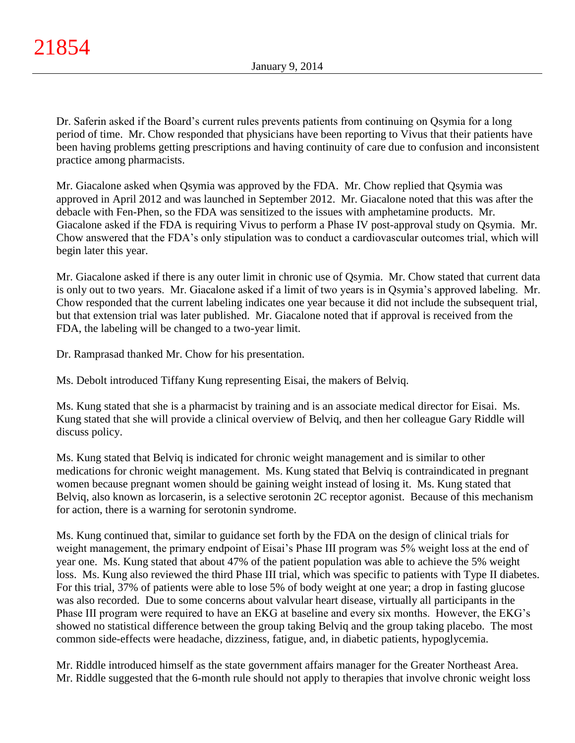Dr. Saferin asked if the Board's current rules prevents patients from continuing on Qsymia for a long period of time. Mr. Chow responded that physicians have been reporting to Vivus that their patients have been having problems getting prescriptions and having continuity of care due to confusion and inconsistent practice among pharmacists.

Mr. Giacalone asked when Qsymia was approved by the FDA. Mr. Chow replied that Qsymia was approved in April 2012 and was launched in September 2012. Mr. Giacalone noted that this was after the debacle with Fen-Phen, so the FDA was sensitized to the issues with amphetamine products. Mr. Giacalone asked if the FDA is requiring Vivus to perform a Phase IV post-approval study on Qsymia. Mr. Chow answered that the FDA's only stipulation was to conduct a cardiovascular outcomes trial, which will begin later this year.

Mr. Giacalone asked if there is any outer limit in chronic use of Qsymia. Mr. Chow stated that current data is only out to two years. Mr. Giacalone asked if a limit of two years is in Qsymia's approved labeling. Mr. Chow responded that the current labeling indicates one year because it did not include the subsequent trial, but that extension trial was later published. Mr. Giacalone noted that if approval is received from the FDA, the labeling will be changed to a two-year limit.

Dr. Ramprasad thanked Mr. Chow for his presentation.

Ms. Debolt introduced Tiffany Kung representing Eisai, the makers of Belviq.

Ms. Kung stated that she is a pharmacist by training and is an associate medical director for Eisai. Ms. Kung stated that she will provide a clinical overview of Belviq, and then her colleague Gary Riddle will discuss policy.

Ms. Kung stated that Belviq is indicated for chronic weight management and is similar to other medications for chronic weight management. Ms. Kung stated that Belviq is contraindicated in pregnant women because pregnant women should be gaining weight instead of losing it. Ms. Kung stated that Belviq, also known as lorcaserin, is a selective serotonin 2C receptor agonist. Because of this mechanism for action, there is a warning for serotonin syndrome.

Ms. Kung continued that, similar to guidance set forth by the FDA on the design of clinical trials for weight management, the primary endpoint of Eisai's Phase III program was 5% weight loss at the end of year one. Ms. Kung stated that about 47% of the patient population was able to achieve the 5% weight loss. Ms. Kung also reviewed the third Phase III trial, which was specific to patients with Type II diabetes. For this trial, 37% of patients were able to lose 5% of body weight at one year; a drop in fasting glucose was also recorded. Due to some concerns about valvular heart disease, virtually all participants in the Phase III program were required to have an EKG at baseline and every six months. However, the EKG's showed no statistical difference between the group taking Belviq and the group taking placebo. The most common side-effects were headache, dizziness, fatigue, and, in diabetic patients, hypoglycemia.

Mr. Riddle introduced himself as the state government affairs manager for the Greater Northeast Area. Mr. Riddle suggested that the 6-month rule should not apply to therapies that involve chronic weight loss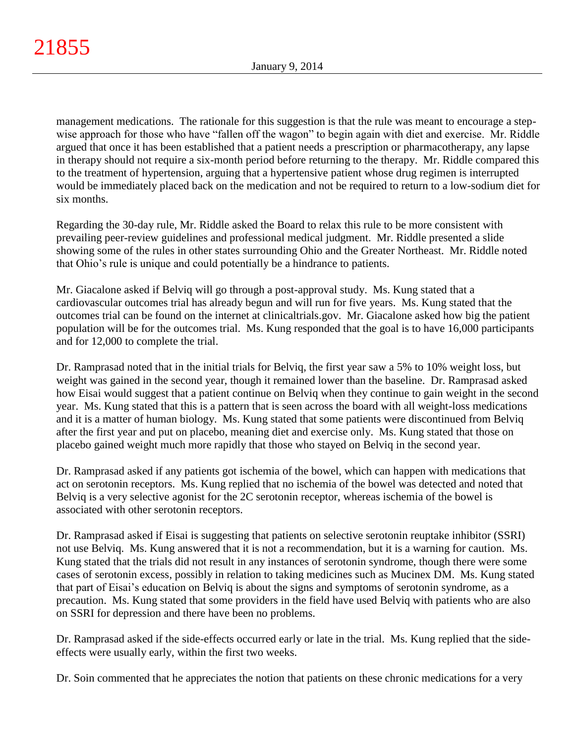management medications. The rationale for this suggestion is that the rule was meant to encourage a stepwise approach for those who have "fallen off the wagon" to begin again with diet and exercise. Mr. Riddle argued that once it has been established that a patient needs a prescription or pharmacotherapy, any lapse in therapy should not require a six-month period before returning to the therapy. Mr. Riddle compared this to the treatment of hypertension, arguing that a hypertensive patient whose drug regimen is interrupted would be immediately placed back on the medication and not be required to return to a low-sodium diet for six months.

Regarding the 30-day rule, Mr. Riddle asked the Board to relax this rule to be more consistent with prevailing peer-review guidelines and professional medical judgment. Mr. Riddle presented a slide showing some of the rules in other states surrounding Ohio and the Greater Northeast. Mr. Riddle noted that Ohio's rule is unique and could potentially be a hindrance to patients.

Mr. Giacalone asked if Belviq will go through a post-approval study. Ms. Kung stated that a cardiovascular outcomes trial has already begun and will run for five years. Ms. Kung stated that the outcomes trial can be found on the internet at clinicaltrials.gov. Mr. Giacalone asked how big the patient population will be for the outcomes trial. Ms. Kung responded that the goal is to have 16,000 participants and for 12,000 to complete the trial.

Dr. Ramprasad noted that in the initial trials for Belviq, the first year saw a 5% to 10% weight loss, but weight was gained in the second year, though it remained lower than the baseline. Dr. Ramprasad asked how Eisai would suggest that a patient continue on Belviq when they continue to gain weight in the second year. Ms. Kung stated that this is a pattern that is seen across the board with all weight-loss medications and it is a matter of human biology. Ms. Kung stated that some patients were discontinued from Belviq after the first year and put on placebo, meaning diet and exercise only. Ms. Kung stated that those on placebo gained weight much more rapidly that those who stayed on Belviq in the second year.

Dr. Ramprasad asked if any patients got ischemia of the bowel, which can happen with medications that act on serotonin receptors. Ms. Kung replied that no ischemia of the bowel was detected and noted that Belviq is a very selective agonist for the 2C serotonin receptor, whereas ischemia of the bowel is associated with other serotonin receptors.

Dr. Ramprasad asked if Eisai is suggesting that patients on selective serotonin reuptake inhibitor (SSRI) not use Belviq. Ms. Kung answered that it is not a recommendation, but it is a warning for caution. Ms. Kung stated that the trials did not result in any instances of serotonin syndrome, though there were some cases of serotonin excess, possibly in relation to taking medicines such as Mucinex DM. Ms. Kung stated that part of Eisai's education on Belviq is about the signs and symptoms of serotonin syndrome, as a precaution. Ms. Kung stated that some providers in the field have used Belviq with patients who are also on SSRI for depression and there have been no problems.

Dr. Ramprasad asked if the side-effects occurred early or late in the trial. Ms. Kung replied that the sideeffects were usually early, within the first two weeks.

Dr. Soin commented that he appreciates the notion that patients on these chronic medications for a very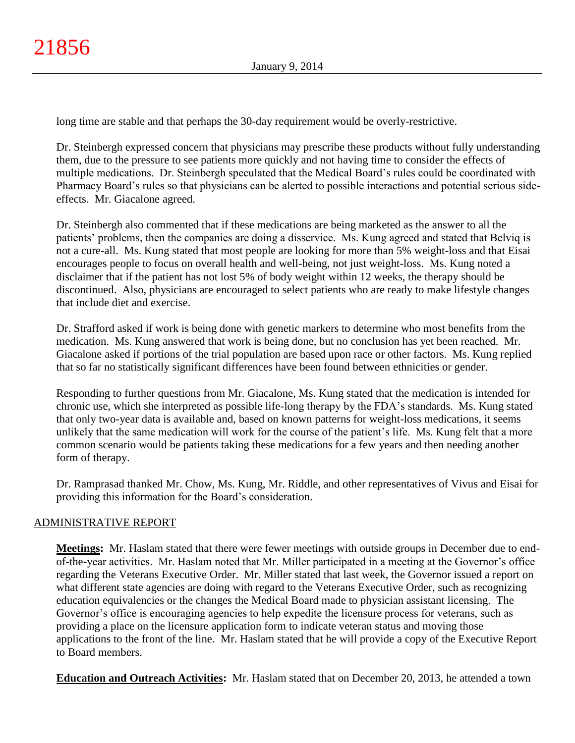long time are stable and that perhaps the 30-day requirement would be overly-restrictive.

Dr. Steinbergh expressed concern that physicians may prescribe these products without fully understanding them, due to the pressure to see patients more quickly and not having time to consider the effects of multiple medications. Dr. Steinbergh speculated that the Medical Board's rules could be coordinated with Pharmacy Board's rules so that physicians can be alerted to possible interactions and potential serious sideeffects. Mr. Giacalone agreed.

Dr. Steinbergh also commented that if these medications are being marketed as the answer to all the patients' problems, then the companies are doing a disservice. Ms. Kung agreed and stated that Belviq is not a cure-all. Ms. Kung stated that most people are looking for more than 5% weight-loss and that Eisai encourages people to focus on overall health and well-being, not just weight-loss. Ms. Kung noted a disclaimer that if the patient has not lost 5% of body weight within 12 weeks, the therapy should be discontinued. Also, physicians are encouraged to select patients who are ready to make lifestyle changes that include diet and exercise.

Dr. Strafford asked if work is being done with genetic markers to determine who most benefits from the medication. Ms. Kung answered that work is being done, but no conclusion has yet been reached. Mr. Giacalone asked if portions of the trial population are based upon race or other factors. Ms. Kung replied that so far no statistically significant differences have been found between ethnicities or gender.

Responding to further questions from Mr. Giacalone, Ms. Kung stated that the medication is intended for chronic use, which she interpreted as possible life-long therapy by the FDA's standards. Ms. Kung stated that only two-year data is available and, based on known patterns for weight-loss medications, it seems unlikely that the same medication will work for the course of the patient's life. Ms. Kung felt that a more common scenario would be patients taking these medications for a few years and then needing another form of therapy.

Dr. Ramprasad thanked Mr. Chow, Ms. Kung, Mr. Riddle, and other representatives of Vivus and Eisai for providing this information for the Board's consideration.

# ADMINISTRATIVE REPORT

**Meetings:** Mr. Haslam stated that there were fewer meetings with outside groups in December due to endof-the-year activities. Mr. Haslam noted that Mr. Miller participated in a meeting at the Governor's office regarding the Veterans Executive Order. Mr. Miller stated that last week, the Governor issued a report on what different state agencies are doing with regard to the Veterans Executive Order, such as recognizing education equivalencies or the changes the Medical Board made to physician assistant licensing. The Governor's office is encouraging agencies to help expedite the licensure process for veterans, such as providing a place on the licensure application form to indicate veteran status and moving those applications to the front of the line. Mr. Haslam stated that he will provide a copy of the Executive Report to Board members.

**Education and Outreach Activities:** Mr. Haslam stated that on December 20, 2013, he attended a town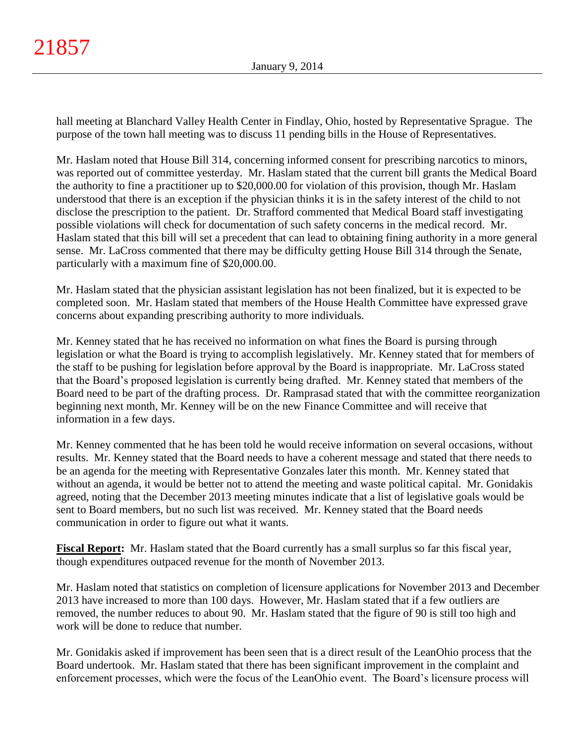hall meeting at Blanchard Valley Health Center in Findlay, Ohio, hosted by Representative Sprague. The purpose of the town hall meeting was to discuss 11 pending bills in the House of Representatives.

Mr. Haslam noted that House Bill 314, concerning informed consent for prescribing narcotics to minors, was reported out of committee yesterday. Mr. Haslam stated that the current bill grants the Medical Board the authority to fine a practitioner up to \$20,000.00 for violation of this provision, though Mr. Haslam understood that there is an exception if the physician thinks it is in the safety interest of the child to not disclose the prescription to the patient. Dr. Strafford commented that Medical Board staff investigating possible violations will check for documentation of such safety concerns in the medical record. Mr. Haslam stated that this bill will set a precedent that can lead to obtaining fining authority in a more general sense. Mr. LaCross commented that there may be difficulty getting House Bill 314 through the Senate, particularly with a maximum fine of \$20,000.00.

Mr. Haslam stated that the physician assistant legislation has not been finalized, but it is expected to be completed soon. Mr. Haslam stated that members of the House Health Committee have expressed grave concerns about expanding prescribing authority to more individuals.

Mr. Kenney stated that he has received no information on what fines the Board is pursing through legislation or what the Board is trying to accomplish legislatively. Mr. Kenney stated that for members of the staff to be pushing for legislation before approval by the Board is inappropriate. Mr. LaCross stated that the Board's proposed legislation is currently being drafted. Mr. Kenney stated that members of the Board need to be part of the drafting process. Dr. Ramprasad stated that with the committee reorganization beginning next month, Mr. Kenney will be on the new Finance Committee and will receive that information in a few days.

Mr. Kenney commented that he has been told he would receive information on several occasions, without results. Mr. Kenney stated that the Board needs to have a coherent message and stated that there needs to be an agenda for the meeting with Representative Gonzales later this month. Mr. Kenney stated that without an agenda, it would be better not to attend the meeting and waste political capital. Mr. Gonidakis agreed, noting that the December 2013 meeting minutes indicate that a list of legislative goals would be sent to Board members, but no such list was received. Mr. Kenney stated that the Board needs communication in order to figure out what it wants.

**Fiscal Report:** Mr. Haslam stated that the Board currently has a small surplus so far this fiscal year, though expenditures outpaced revenue for the month of November 2013.

Mr. Haslam noted that statistics on completion of licensure applications for November 2013 and December 2013 have increased to more than 100 days. However, Mr. Haslam stated that if a few outliers are removed, the number reduces to about 90. Mr. Haslam stated that the figure of 90 is still too high and work will be done to reduce that number.

Mr. Gonidakis asked if improvement has been seen that is a direct result of the LeanOhio process that the Board undertook. Mr. Haslam stated that there has been significant improvement in the complaint and enforcement processes, which were the focus of the LeanOhio event. The Board's licensure process will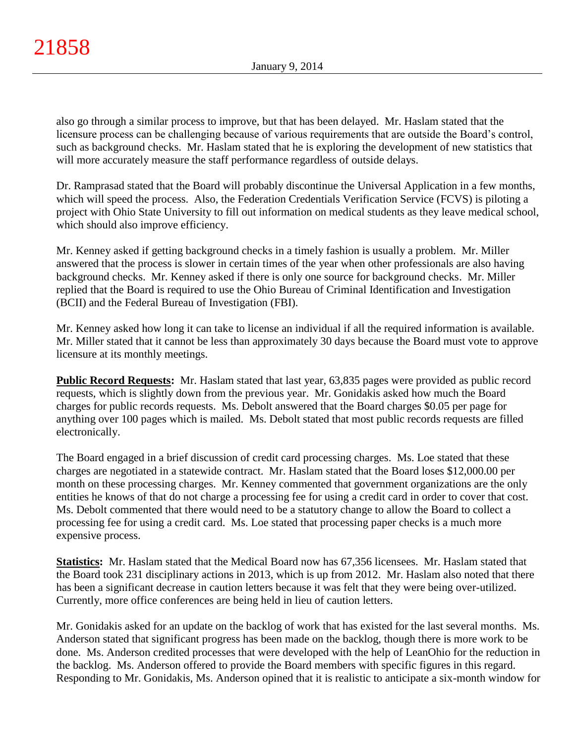also go through a similar process to improve, but that has been delayed. Mr. Haslam stated that the licensure process can be challenging because of various requirements that are outside the Board's control, such as background checks. Mr. Haslam stated that he is exploring the development of new statistics that will more accurately measure the staff performance regardless of outside delays.

Dr. Ramprasad stated that the Board will probably discontinue the Universal Application in a few months, which will speed the process. Also, the Federation Credentials Verification Service (FCVS) is piloting a project with Ohio State University to fill out information on medical students as they leave medical school, which should also improve efficiency.

Mr. Kenney asked if getting background checks in a timely fashion is usually a problem. Mr. Miller answered that the process is slower in certain times of the year when other professionals are also having background checks. Mr. Kenney asked if there is only one source for background checks. Mr. Miller replied that the Board is required to use the Ohio Bureau of Criminal Identification and Investigation (BCII) and the Federal Bureau of Investigation (FBI).

Mr. Kenney asked how long it can take to license an individual if all the required information is available. Mr. Miller stated that it cannot be less than approximately 30 days because the Board must vote to approve licensure at its monthly meetings.

**Public Record Requests:** Mr. Haslam stated that last year, 63,835 pages were provided as public record requests, which is slightly down from the previous year. Mr. Gonidakis asked how much the Board charges for public records requests. Ms. Debolt answered that the Board charges \$0.05 per page for anything over 100 pages which is mailed. Ms. Debolt stated that most public records requests are filled electronically.

The Board engaged in a brief discussion of credit card processing charges. Ms. Loe stated that these charges are negotiated in a statewide contract. Mr. Haslam stated that the Board loses \$12,000.00 per month on these processing charges. Mr. Kenney commented that government organizations are the only entities he knows of that do not charge a processing fee for using a credit card in order to cover that cost. Ms. Debolt commented that there would need to be a statutory change to allow the Board to collect a processing fee for using a credit card. Ms. Loe stated that processing paper checks is a much more expensive process.

**Statistics:** Mr. Haslam stated that the Medical Board now has 67,356 licensees. Mr. Haslam stated that the Board took 231 disciplinary actions in 2013, which is up from 2012. Mr. Haslam also noted that there has been a significant decrease in caution letters because it was felt that they were being over-utilized. Currently, more office conferences are being held in lieu of caution letters.

Mr. Gonidakis asked for an update on the backlog of work that has existed for the last several months. Ms. Anderson stated that significant progress has been made on the backlog, though there is more work to be done. Ms. Anderson credited processes that were developed with the help of LeanOhio for the reduction in the backlog. Ms. Anderson offered to provide the Board members with specific figures in this regard. Responding to Mr. Gonidakis, Ms. Anderson opined that it is realistic to anticipate a six-month window for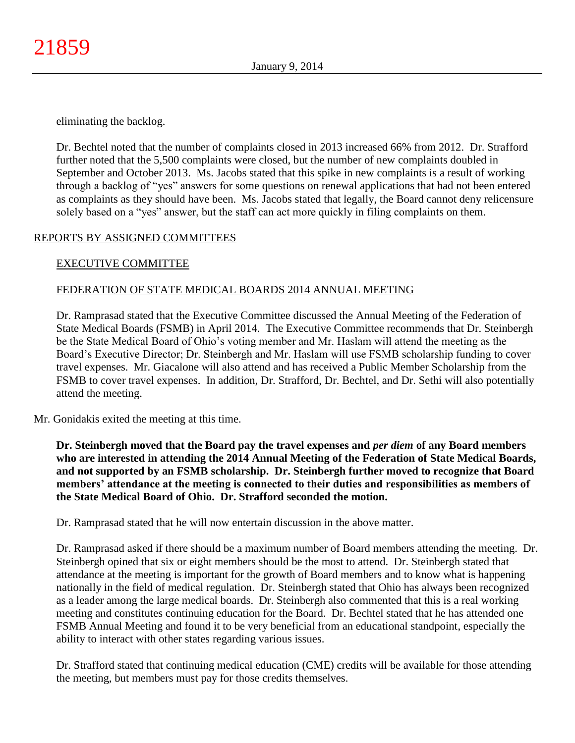eliminating the backlog.

Dr. Bechtel noted that the number of complaints closed in 2013 increased 66% from 2012. Dr. Strafford further noted that the 5,500 complaints were closed, but the number of new complaints doubled in September and October 2013. Ms. Jacobs stated that this spike in new complaints is a result of working through a backlog of "yes" answers for some questions on renewal applications that had not been entered as complaints as they should have been. Ms. Jacobs stated that legally, the Board cannot deny relicensure solely based on a "yes" answer, but the staff can act more quickly in filing complaints on them.

# REPORTS BY ASSIGNED COMMITTEES

# EXECUTIVE COMMITTEE

# FEDERATION OF STATE MEDICAL BOARDS 2014 ANNUAL MEETING

Dr. Ramprasad stated that the Executive Committee discussed the Annual Meeting of the Federation of State Medical Boards (FSMB) in April 2014. The Executive Committee recommends that Dr. Steinbergh be the State Medical Board of Ohio's voting member and Mr. Haslam will attend the meeting as the Board's Executive Director; Dr. Steinbergh and Mr. Haslam will use FSMB scholarship funding to cover travel expenses. Mr. Giacalone will also attend and has received a Public Member Scholarship from the FSMB to cover travel expenses. In addition, Dr. Strafford, Dr. Bechtel, and Dr. Sethi will also potentially attend the meeting.

Mr. Gonidakis exited the meeting at this time.

**Dr. Steinbergh moved that the Board pay the travel expenses and** *per diem* **of any Board members who are interested in attending the 2014 Annual Meeting of the Federation of State Medical Boards, and not supported by an FSMB scholarship. Dr. Steinbergh further moved to recognize that Board members' attendance at the meeting is connected to their duties and responsibilities as members of the State Medical Board of Ohio. Dr. Strafford seconded the motion.**

Dr. Ramprasad stated that he will now entertain discussion in the above matter.

Dr. Ramprasad asked if there should be a maximum number of Board members attending the meeting. Dr. Steinbergh opined that six or eight members should be the most to attend. Dr. Steinbergh stated that attendance at the meeting is important for the growth of Board members and to know what is happening nationally in the field of medical regulation. Dr. Steinbergh stated that Ohio has always been recognized as a leader among the large medical boards. Dr. Steinbergh also commented that this is a real working meeting and constitutes continuing education for the Board. Dr. Bechtel stated that he has attended one FSMB Annual Meeting and found it to be very beneficial from an educational standpoint, especially the ability to interact with other states regarding various issues.

Dr. Strafford stated that continuing medical education (CME) credits will be available for those attending the meeting, but members must pay for those credits themselves.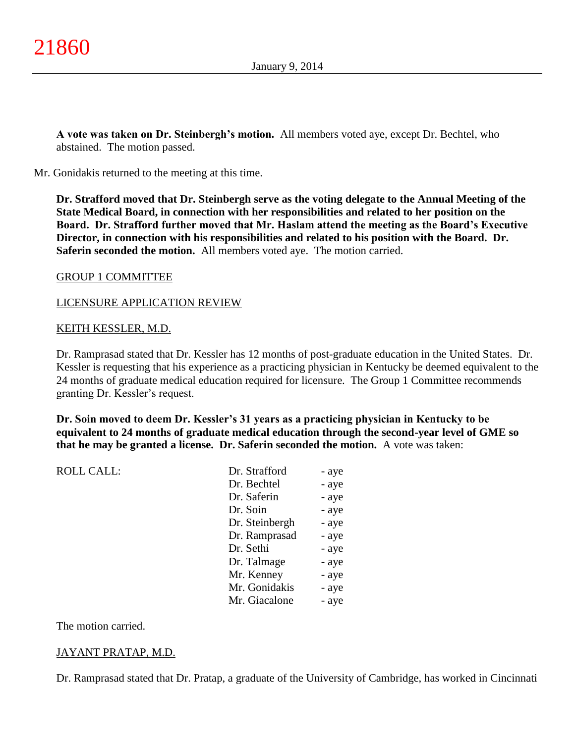**A vote was taken on Dr. Steinbergh's motion.** All members voted aye, except Dr. Bechtel, who abstained. The motion passed.

Mr. Gonidakis returned to the meeting at this time.

**Dr. Strafford moved that Dr. Steinbergh serve as the voting delegate to the Annual Meeting of the State Medical Board, in connection with her responsibilities and related to her position on the Board. Dr. Strafford further moved that Mr. Haslam attend the meeting as the Board's Executive Director, in connection with his responsibilities and related to his position with the Board. Dr. Saferin seconded the motion.** All members voted aye. The motion carried.

### GROUP 1 COMMITTEE

### LICENSURE APPLICATION REVIEW

### KEITH KESSLER, M.D.

Dr. Ramprasad stated that Dr. Kessler has 12 months of post-graduate education in the United States. Dr. Kessler is requesting that his experience as a practicing physician in Kentucky be deemed equivalent to the 24 months of graduate medical education required for licensure. The Group 1 Committee recommends granting Dr. Kessler's request.

**Dr. Soin moved to deem Dr. Kessler's 31 years as a practicing physician in Kentucky to be equivalent to 24 months of graduate medical education through the second-year level of GME so that he may be granted a license. Dr. Saferin seconded the motion.** A vote was taken:

| <b>ROLL CALL:</b> |  |
|-------------------|--|
|-------------------|--|

| <b>ROLL CALL:</b> | Dr. Strafford  | - aye |
|-------------------|----------------|-------|
|                   | Dr. Bechtel    | - aye |
|                   | Dr. Saferin    | - aye |
|                   | Dr. Soin       | - aye |
|                   | Dr. Steinbergh | - aye |
|                   | Dr. Ramprasad  | - aye |
|                   | Dr. Sethi      | - aye |
|                   | Dr. Talmage    | - aye |
|                   | Mr. Kenney     | - aye |
|                   | Mr. Gonidakis  | - aye |
|                   | Mr. Giacalone  | - aye |
|                   |                |       |

### The motion carried.

## JAYANT PRATAP, M.D.

Dr. Ramprasad stated that Dr. Pratap, a graduate of the University of Cambridge, has worked in Cincinnati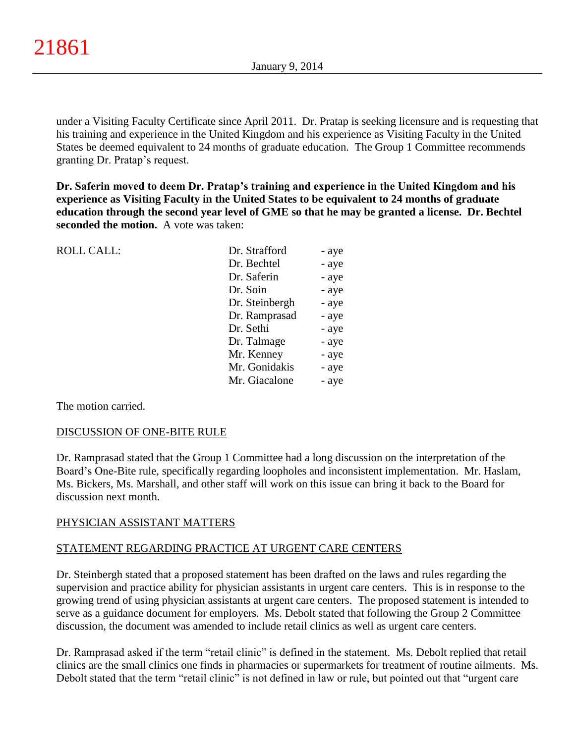under a Visiting Faculty Certificate since April 2011. Dr. Pratap is seeking licensure and is requesting that his training and experience in the United Kingdom and his experience as Visiting Faculty in the United States be deemed equivalent to 24 months of graduate education. The Group 1 Committee recommends granting Dr. Pratap's request.

**Dr. Saferin moved to deem Dr. Pratap's training and experience in the United Kingdom and his experience as Visiting Faculty in the United States to be equivalent to 24 months of graduate education through the second year level of GME so that he may be granted a license. Dr. Bechtel seconded the motion.** A vote was taken:

| <b>ROLL CALL:</b> | Dr. Strafford  | - aye |
|-------------------|----------------|-------|
|                   | Dr. Bechtel    | - aye |
|                   | Dr. Saferin    | - aye |
|                   | Dr. Soin       | - aye |
|                   | Dr. Steinbergh | - aye |
|                   | Dr. Ramprasad  | - aye |
|                   | Dr. Sethi      | - aye |
|                   | Dr. Talmage    | - aye |
|                   | Mr. Kenney     | - aye |
|                   | Mr. Gonidakis  | - aye |
|                   | Mr. Giacalone  | - aye |
|                   |                |       |

The motion carried.

## DISCUSSION OF ONE-BITE RULE

Dr. Ramprasad stated that the Group 1 Committee had a long discussion on the interpretation of the Board's One-Bite rule, specifically regarding loopholes and inconsistent implementation. Mr. Haslam, Ms. Bickers, Ms. Marshall, and other staff will work on this issue can bring it back to the Board for discussion next month.

## PHYSICIAN ASSISTANT MATTERS

# STATEMENT REGARDING PRACTICE AT URGENT CARE CENTERS

Dr. Steinbergh stated that a proposed statement has been drafted on the laws and rules regarding the supervision and practice ability for physician assistants in urgent care centers. This is in response to the growing trend of using physician assistants at urgent care centers. The proposed statement is intended to serve as a guidance document for employers. Ms. Debolt stated that following the Group 2 Committee discussion, the document was amended to include retail clinics as well as urgent care centers.

Dr. Ramprasad asked if the term "retail clinic" is defined in the statement. Ms. Debolt replied that retail clinics are the small clinics one finds in pharmacies or supermarkets for treatment of routine ailments. Ms. Debolt stated that the term "retail clinic" is not defined in law or rule, but pointed out that "urgent care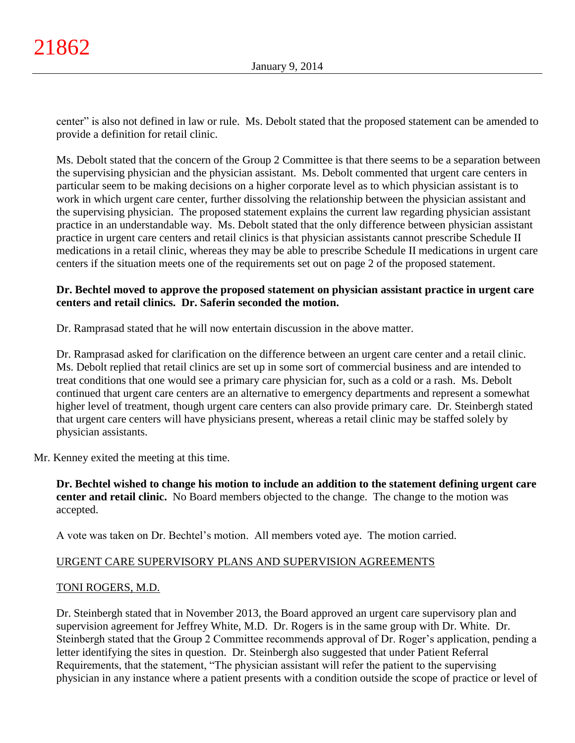center" is also not defined in law or rule. Ms. Debolt stated that the proposed statement can be amended to provide a definition for retail clinic.

Ms. Debolt stated that the concern of the Group 2 Committee is that there seems to be a separation between the supervising physician and the physician assistant. Ms. Debolt commented that urgent care centers in particular seem to be making decisions on a higher corporate level as to which physician assistant is to work in which urgent care center, further dissolving the relationship between the physician assistant and the supervising physician. The proposed statement explains the current law regarding physician assistant practice in an understandable way. Ms. Debolt stated that the only difference between physician assistant practice in urgent care centers and retail clinics is that physician assistants cannot prescribe Schedule II medications in a retail clinic, whereas they may be able to prescribe Schedule II medications in urgent care centers if the situation meets one of the requirements set out on page 2 of the proposed statement.

# **Dr. Bechtel moved to approve the proposed statement on physician assistant practice in urgent care centers and retail clinics. Dr. Saferin seconded the motion.**

Dr. Ramprasad stated that he will now entertain discussion in the above matter.

Dr. Ramprasad asked for clarification on the difference between an urgent care center and a retail clinic. Ms. Debolt replied that retail clinics are set up in some sort of commercial business and are intended to treat conditions that one would see a primary care physician for, such as a cold or a rash. Ms. Debolt continued that urgent care centers are an alternative to emergency departments and represent a somewhat higher level of treatment, though urgent care centers can also provide primary care. Dr. Steinbergh stated that urgent care centers will have physicians present, whereas a retail clinic may be staffed solely by physician assistants.

Mr. Kenney exited the meeting at this time.

**Dr. Bechtel wished to change his motion to include an addition to the statement defining urgent care center and retail clinic.** No Board members objected to the change. The change to the motion was accepted.

A vote was taken on Dr. Bechtel's motion. All members voted aye. The motion carried.

# URGENT CARE SUPERVISORY PLANS AND SUPERVISION AGREEMENTS

## TONI ROGERS, M.D.

Dr. Steinbergh stated that in November 2013, the Board approved an urgent care supervisory plan and supervision agreement for Jeffrey White, M.D. Dr. Rogers is in the same group with Dr. White. Dr. Steinbergh stated that the Group 2 Committee recommends approval of Dr. Roger's application, pending a letter identifying the sites in question. Dr. Steinbergh also suggested that under Patient Referral Requirements, that the statement, "The physician assistant will refer the patient to the supervising physician in any instance where a patient presents with a condition outside the scope of practice or level of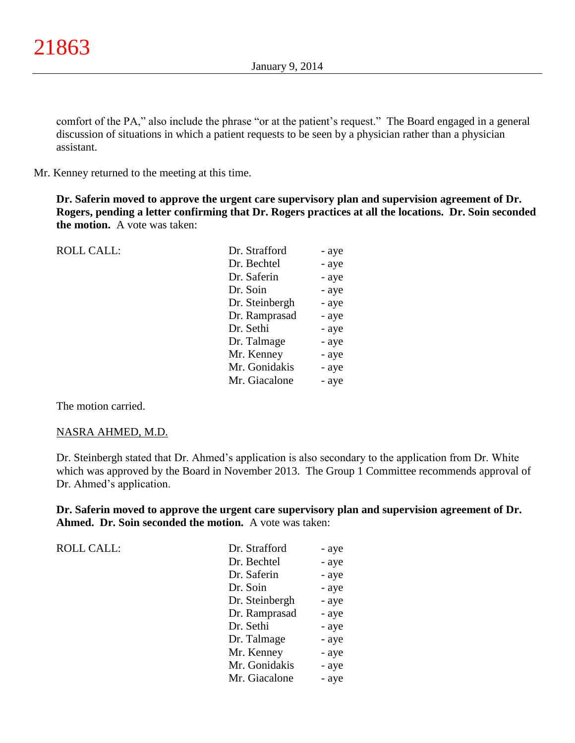comfort of the PA," also include the phrase "or at the patient's request." The Board engaged in a general discussion of situations in which a patient requests to be seen by a physician rather than a physician assistant.

Mr. Kenney returned to the meeting at this time.

**Dr. Saferin moved to approve the urgent care supervisory plan and supervision agreement of Dr. Rogers, pending a letter confirming that Dr. Rogers practices at all the locations. Dr. Soin seconded the motion.** A vote was taken:

| <b>ROLL CALL:</b> | Dr. Strafford  | - aye |
|-------------------|----------------|-------|
|                   | Dr. Bechtel    | - aye |
|                   | Dr. Saferin    | - aye |
|                   | Dr. Soin       | - aye |
|                   | Dr. Steinbergh | - aye |
|                   | Dr. Ramprasad  | - aye |
|                   | Dr. Sethi      | - aye |
|                   | Dr. Talmage    | - aye |
|                   | Mr. Kenney     | - aye |
|                   | Mr. Gonidakis  | - aye |
|                   | Mr. Giacalone  | - aye |
|                   |                |       |

The motion carried.

### NASRA AHMED, M.D.

Dr. Steinbergh stated that Dr. Ahmed's application is also secondary to the application from Dr. White which was approved by the Board in November 2013. The Group 1 Committee recommends approval of Dr. Ahmed's application.

**Dr. Saferin moved to approve the urgent care supervisory plan and supervision agreement of Dr. Ahmed. Dr. Soin seconded the motion.** A vote was taken:

| <b>ROLL CALL:</b> | Dr. Strafford  | - aye |
|-------------------|----------------|-------|
|                   | Dr. Bechtel    | - aye |
|                   | Dr. Saferin    | - aye |
|                   | Dr. Soin       | - aye |
|                   | Dr. Steinbergh | - aye |
|                   | Dr. Ramprasad  | - aye |
|                   | Dr. Sethi      | - aye |
|                   | Dr. Talmage    | - aye |
|                   | Mr. Kenney     | - aye |
|                   | Mr. Gonidakis  | - aye |
|                   | Mr. Giacalone  | - aye |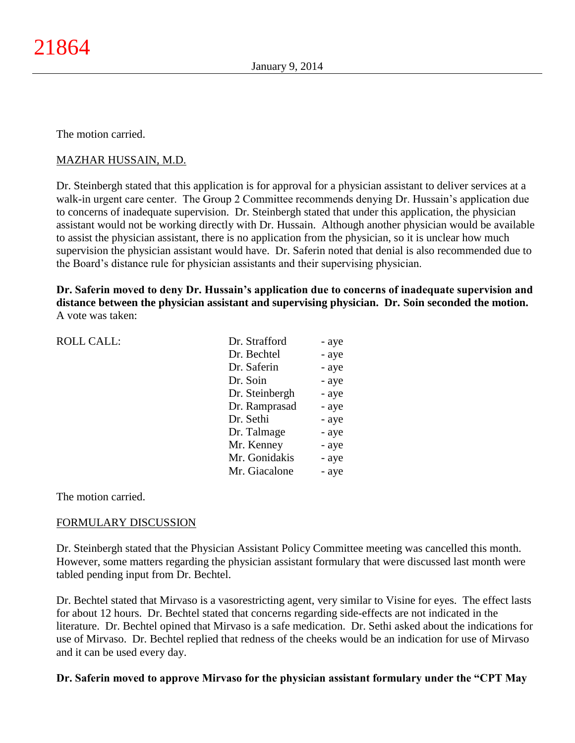The motion carried.

# MAZHAR HUSSAIN, M.D.

Dr. Steinbergh stated that this application is for approval for a physician assistant to deliver services at a walk-in urgent care center. The Group 2 Committee recommends denying Dr. Hussain's application due to concerns of inadequate supervision. Dr. Steinbergh stated that under this application, the physician assistant would not be working directly with Dr. Hussain. Although another physician would be available to assist the physician assistant, there is no application from the physician, so it is unclear how much supervision the physician assistant would have. Dr. Saferin noted that denial is also recommended due to the Board's distance rule for physician assistants and their supervising physician.

**Dr. Saferin moved to deny Dr. Hussain's application due to concerns of inadequate supervision and distance between the physician assistant and supervising physician. Dr. Soin seconded the motion.** A vote was taken:

| <b>ROLL CALL:</b> | Dr. Strafford  | - aye |
|-------------------|----------------|-------|
|                   | Dr. Bechtel    | - aye |
|                   | Dr. Saferin    | - aye |
|                   | Dr. Soin       | - aye |
|                   | Dr. Steinbergh | - aye |
|                   | Dr. Ramprasad  | - aye |
|                   | Dr. Sethi      | - aye |
|                   | Dr. Talmage    | - aye |
|                   | Mr. Kenney     | - aye |
|                   | Mr. Gonidakis  | - aye |
|                   | Mr. Giacalone  | - aye |
|                   |                |       |

The motion carried.

## FORMULARY DISCUSSION

Dr. Steinbergh stated that the Physician Assistant Policy Committee meeting was cancelled this month. However, some matters regarding the physician assistant formulary that were discussed last month were tabled pending input from Dr. Bechtel.

Dr. Bechtel stated that Mirvaso is a vasorestricting agent, very similar to Visine for eyes. The effect lasts for about 12 hours. Dr. Bechtel stated that concerns regarding side-effects are not indicated in the literature. Dr. Bechtel opined that Mirvaso is a safe medication. Dr. Sethi asked about the indications for use of Mirvaso. Dr. Bechtel replied that redness of the cheeks would be an indication for use of Mirvaso and it can be used every day.

## **Dr. Saferin moved to approve Mirvaso for the physician assistant formulary under the "CPT May**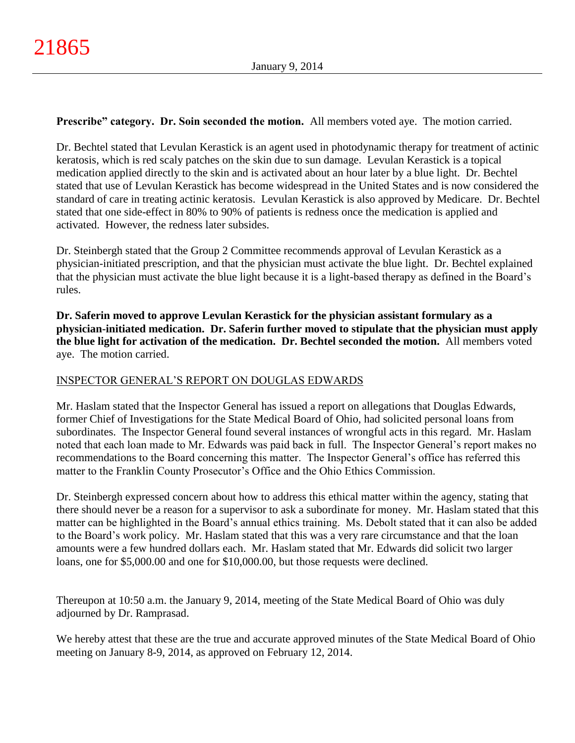# **Prescribe" category. Dr. Soin seconded the motion.** All members voted aye. The motion carried.

Dr. Bechtel stated that Levulan Kerastick is an agent used in photodynamic therapy for treatment of actinic keratosis, which is red scaly patches on the skin due to sun damage. Levulan Kerastick is a topical medication applied directly to the skin and is activated about an hour later by a blue light. Dr. Bechtel stated that use of Levulan Kerastick has become widespread in the United States and is now considered the standard of care in treating actinic keratosis. Levulan Kerastick is also approved by Medicare. Dr. Bechtel stated that one side-effect in 80% to 90% of patients is redness once the medication is applied and activated. However, the redness later subsides.

Dr. Steinbergh stated that the Group 2 Committee recommends approval of Levulan Kerastick as a physician-initiated prescription, and that the physician must activate the blue light. Dr. Bechtel explained that the physician must activate the blue light because it is a light-based therapy as defined in the Board's rules.

**Dr. Saferin moved to approve Levulan Kerastick for the physician assistant formulary as a physician-initiated medication. Dr. Saferin further moved to stipulate that the physician must apply the blue light for activation of the medication. Dr. Bechtel seconded the motion.** All members voted aye. The motion carried.

# INSPECTOR GENERAL'S REPORT ON DOUGLAS EDWARDS

Mr. Haslam stated that the Inspector General has issued a report on allegations that Douglas Edwards, former Chief of Investigations for the State Medical Board of Ohio, had solicited personal loans from subordinates. The Inspector General found several instances of wrongful acts in this regard. Mr. Haslam noted that each loan made to Mr. Edwards was paid back in full. The Inspector General's report makes no recommendations to the Board concerning this matter. The Inspector General's office has referred this matter to the Franklin County Prosecutor's Office and the Ohio Ethics Commission.

Dr. Steinbergh expressed concern about how to address this ethical matter within the agency, stating that there should never be a reason for a supervisor to ask a subordinate for money. Mr. Haslam stated that this matter can be highlighted in the Board's annual ethics training. Ms. Debolt stated that it can also be added to the Board's work policy. Mr. Haslam stated that this was a very rare circumstance and that the loan amounts were a few hundred dollars each. Mr. Haslam stated that Mr. Edwards did solicit two larger loans, one for \$5,000.00 and one for \$10,000.00, but those requests were declined.

Thereupon at 10:50 a.m. the January 9, 2014, meeting of the State Medical Board of Ohio was duly adjourned by Dr. Ramprasad.

We hereby attest that these are the true and accurate approved minutes of the State Medical Board of Ohio meeting on January 8-9, 2014, as approved on February 12, 2014.